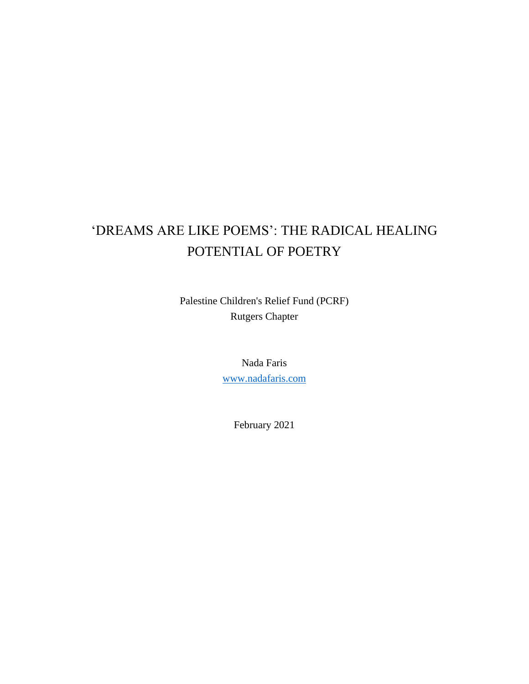# 'DREAMS ARE LIKE POEMS': THE RADICAL HEALING POTENTIAL OF POETRY

Palestine Children's Relief Fund (PCRF) Rutgers Chapter

> Nada Faris [www.nadafaris.com](http://www.nadafaris.com/)

> > February 2021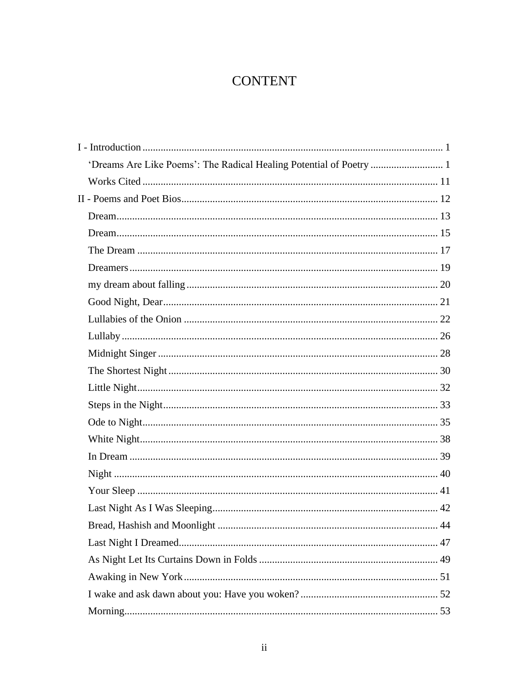### **CONTENT**

| 'Dreams Are Like Poems': The Radical Healing Potential of Poetry  1 |  |
|---------------------------------------------------------------------|--|
|                                                                     |  |
|                                                                     |  |
|                                                                     |  |
|                                                                     |  |
|                                                                     |  |
|                                                                     |  |
|                                                                     |  |
|                                                                     |  |
|                                                                     |  |
|                                                                     |  |
|                                                                     |  |
|                                                                     |  |
|                                                                     |  |
|                                                                     |  |
|                                                                     |  |
|                                                                     |  |
|                                                                     |  |
|                                                                     |  |
|                                                                     |  |
|                                                                     |  |
|                                                                     |  |
|                                                                     |  |
|                                                                     |  |
|                                                                     |  |
|                                                                     |  |
|                                                                     |  |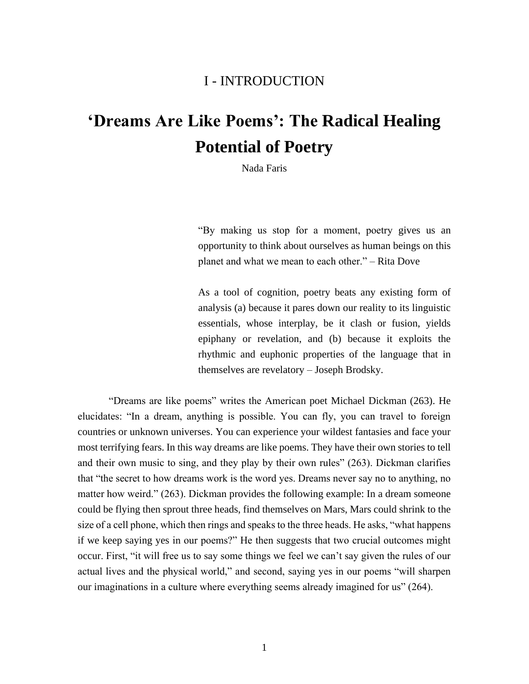### I - INTRODUCTION

# <span id="page-3-1"></span><span id="page-3-0"></span>**'Dreams Are Like Poems': The Radical Healing Potential of Poetry**

Nada Faris

"By making us stop for a moment, poetry gives us an opportunity to think about ourselves as human beings on this planet and what we mean to each other." – Rita Dove

As a tool of cognition, poetry beats any existing form of analysis (a) because it pares down our reality to its linguistic essentials, whose interplay, be it clash or fusion, yields epiphany or revelation, and (b) because it exploits the rhythmic and euphonic properties of the language that in themselves are revelatory – Joseph Brodsky.

"Dreams are like poems" writes the American poet Michael Dickman (263). He elucidates: "In a dream, anything is possible. You can fly, you can travel to foreign countries or unknown universes. You can experience your wildest fantasies and face your most terrifying fears. In this way dreams are like poems. They have their own stories to tell and their own music to sing, and they play by their own rules" (263). Dickman clarifies that "the secret to how dreams work is the word yes. Dreams never say no to anything, no matter how weird." (263). Dickman provides the following example: In a dream someone could be flying then sprout three heads, find themselves on Mars, Mars could shrink to the size of a cell phone, which then rings and speaks to the three heads. He asks, "what happens if we keep saying yes in our poems?" He then suggests that two crucial outcomes might occur. First, "it will free us to say some things we feel we can't say given the rules of our actual lives and the physical world," and second, saying yes in our poems "will sharpen our imaginations in a culture where everything seems already imagined for us" (264).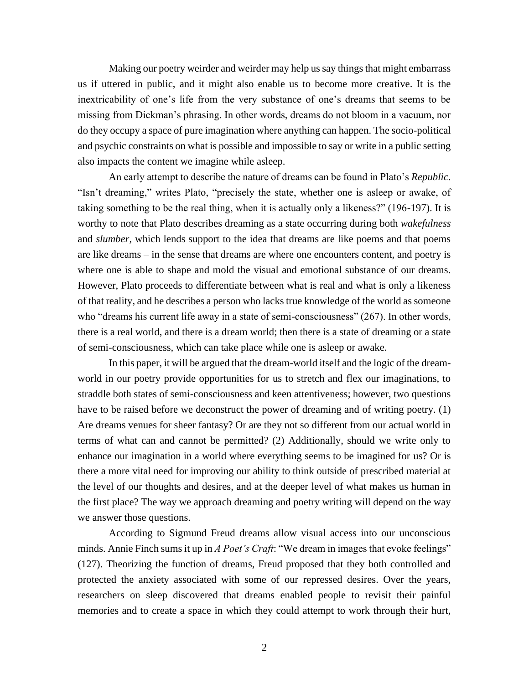Making our poetry weirder and weirder may help us say things that might embarrass us if uttered in public, and it might also enable us to become more creative. It is the inextricability of one's life from the very substance of one's dreams that seems to be missing from Dickman's phrasing. In other words, dreams do not bloom in a vacuum, nor do they occupy a space of pure imagination where anything can happen. The socio-political and psychic constraints on what is possible and impossible to say or write in a public setting also impacts the content we imagine while asleep.

An early attempt to describe the nature of dreams can be found in Plato's *Republic*. "Isn't dreaming," writes Plato, "precisely the state, whether one is asleep or awake, of taking something to be the real thing, when it is actually only a likeness?" (196-197). It is worthy to note that Plato describes dreaming as a state occurring during both *wakefulness* and *slumber,* which lends support to the idea that dreams are like poems and that poems are like dreams – in the sense that dreams are where one encounters content, and poetry is where one is able to shape and mold the visual and emotional substance of our dreams. However, Plato proceeds to differentiate between what is real and what is only a likeness of that reality, and he describes a person who lacks true knowledge of the world as someone who "dreams his current life away in a state of semi-consciousness" (267). In other words, there is a real world, and there is a dream world; then there is a state of dreaming or a state of semi-consciousness, which can take place while one is asleep or awake.

In this paper, it will be argued that the dream-world itself and the logic of the dreamworld in our poetry provide opportunities for us to stretch and flex our imaginations, to straddle both states of semi-consciousness and keen attentiveness; however, two questions have to be raised before we deconstruct the power of dreaming and of writing poetry. (1) Are dreams venues for sheer fantasy? Or are they not so different from our actual world in terms of what can and cannot be permitted? (2) Additionally, should we write only to enhance our imagination in a world where everything seems to be imagined for us? Or is there a more vital need for improving our ability to think outside of prescribed material at the level of our thoughts and desires, and at the deeper level of what makes us human in the first place? The way we approach dreaming and poetry writing will depend on the way we answer those questions.

According to Sigmund Freud dreams allow visual access into our unconscious minds. Annie Finch sums it up in *A Poet's Craft*: "We dream in images that evoke feelings" (127). Theorizing the function of dreams, Freud proposed that they both controlled and protected the anxiety associated with some of our repressed desires. Over the years, researchers on sleep discovered that dreams enabled people to revisit their painful memories and to create a space in which they could attempt to work through their hurt,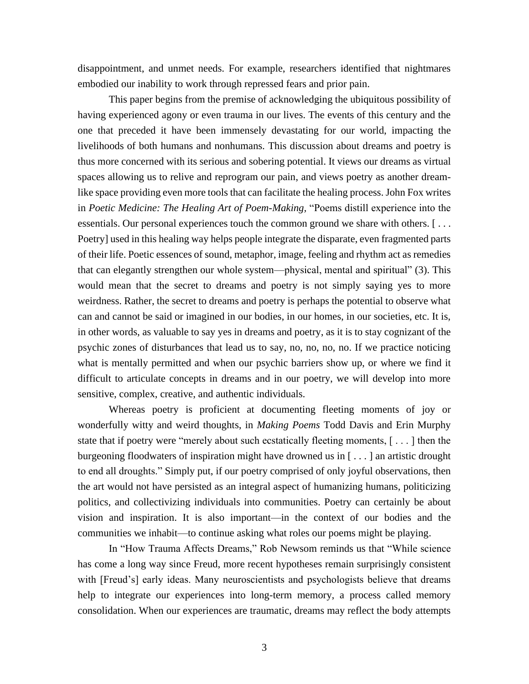disappointment, and unmet needs. For example, researchers identified that nightmares embodied our inability to work through repressed fears and prior pain.

This paper begins from the premise of acknowledging the ubiquitous possibility of having experienced agony or even trauma in our lives. The events of this century and the one that preceded it have been immensely devastating for our world, impacting the livelihoods of both humans and nonhumans. This discussion about dreams and poetry is thus more concerned with its serious and sobering potential. It views our dreams as virtual spaces allowing us to relive and reprogram our pain, and views poetry as another dreamlike space providing even more tools that can facilitate the healing process. John Fox writes in *Poetic Medicine: The Healing Art of Poem-Making,* "Poems distill experience into the essentials. Our personal experiences touch the common ground we share with others. [ . . . Poetry] used in this healing way helps people integrate the disparate, even fragmented parts of their life. Poetic essences of sound, metaphor, image, feeling and rhythm act as remedies that can elegantly strengthen our whole system—physical, mental and spiritual" (3). This would mean that the secret to dreams and poetry is not simply saying yes to more weirdness. Rather, the secret to dreams and poetry is perhaps the potential to observe what can and cannot be said or imagined in our bodies, in our homes, in our societies, etc. It is, in other words, as valuable to say yes in dreams and poetry, as it is to stay cognizant of the psychic zones of disturbances that lead us to say, no, no, no, no. If we practice noticing what is mentally permitted and when our psychic barriers show up, or where we find it difficult to articulate concepts in dreams and in our poetry, we will develop into more sensitive, complex, creative, and authentic individuals.

Whereas poetry is proficient at documenting fleeting moments of joy or wonderfully witty and weird thoughts, in *Making Poems* Todd Davis and Erin Murphy state that if poetry were "merely about such ecstatically fleeting moments, [ . . . ] then the burgeoning floodwaters of inspiration might have drowned us in [ . . . ] an artistic drought to end all droughts." Simply put, if our poetry comprised of only joyful observations, then the art would not have persisted as an integral aspect of humanizing humans, politicizing politics, and collectivizing individuals into communities. Poetry can certainly be about vision and inspiration. It is also important—in the context of our bodies and the communities we inhabit—to continue asking what roles our poems might be playing.

In "How Trauma Affects Dreams," Rob Newsom reminds us that "While science has come a long way since Freud, more recent hypotheses remain surprisingly consistent with [Freud's] early ideas. Many neuroscientists and psychologists believe that dreams help to integrate our experiences into long-term memory, a process called memory consolidation. When our experiences are traumatic, dreams may reflect the body attempts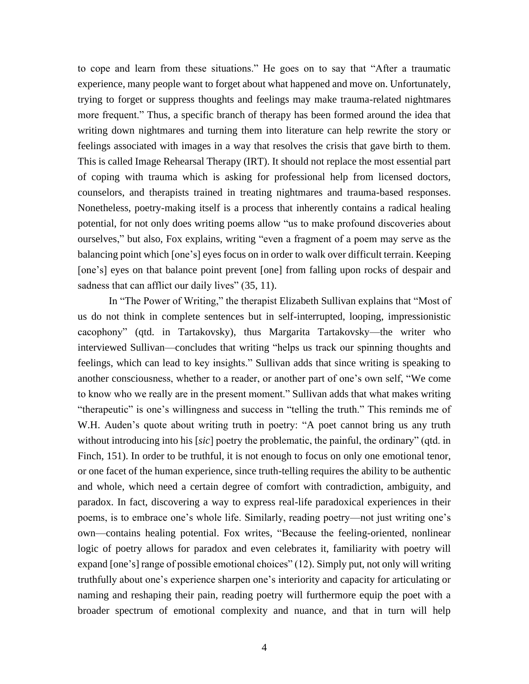to cope and learn from these situations." He goes on to say that "After a traumatic experience, many people want to forget about what happened and move on. Unfortunately, trying to forget or suppress thoughts and feelings may make trauma-related nightmares more frequent." Thus, a specific branch of therapy has been formed around the idea that writing down nightmares and turning them into literature can help rewrite the story or feelings associated with images in a way that resolves the crisis that gave birth to them. This is called Image Rehearsal Therapy (IRT). It should not replace the most essential part of coping with trauma which is asking for professional help from licensed doctors, counselors, and therapists trained in treating nightmares and trauma-based responses. Nonetheless, poetry-making itself is a process that inherently contains a radical healing potential, for not only does writing poems allow "us to make profound discoveries about ourselves," but also, Fox explains, writing "even a fragment of a poem may serve as the balancing point which [one's] eyes focus on in order to walk over difficult terrain. Keeping [one's] eyes on that balance point prevent [one] from falling upon rocks of despair and sadness that can afflict our daily lives" (35, 11).

In "The Power of Writing," the therapist Elizabeth Sullivan explains that "Most of us do not think in complete sentences but in self-interrupted, looping, impressionistic cacophony" (qtd. in Tartakovsky), thus Margarita Tartakovsky—the writer who interviewed Sullivan—concludes that writing "helps us track our spinning thoughts and feelings, which can lead to key insights." Sullivan adds that since writing is speaking to another consciousness, whether to a reader, or another part of one's own self, "We come to know who we really are in the present moment." Sullivan adds that what makes writing "therapeutic" is one's willingness and success in "telling the truth." This reminds me of W.H. Auden's quote about writing truth in poetry: "A poet cannot bring us any truth without introducing into his [*sic*] poetry the problematic, the painful, the ordinary" (qtd. in Finch, 151). In order to be truthful, it is not enough to focus on only one emotional tenor, or one facet of the human experience, since truth-telling requires the ability to be authentic and whole, which need a certain degree of comfort with contradiction, ambiguity, and paradox. In fact, discovering a way to express real-life paradoxical experiences in their poems, is to embrace one's whole life. Similarly, reading poetry—not just writing one's own—contains healing potential. Fox writes, "Because the feeling-oriented, nonlinear logic of poetry allows for paradox and even celebrates it, familiarity with poetry will expand [one's] range of possible emotional choices" (12). Simply put, not only will writing truthfully about one's experience sharpen one's interiority and capacity for articulating or naming and reshaping their pain, reading poetry will furthermore equip the poet with a broader spectrum of emotional complexity and nuance, and that in turn will help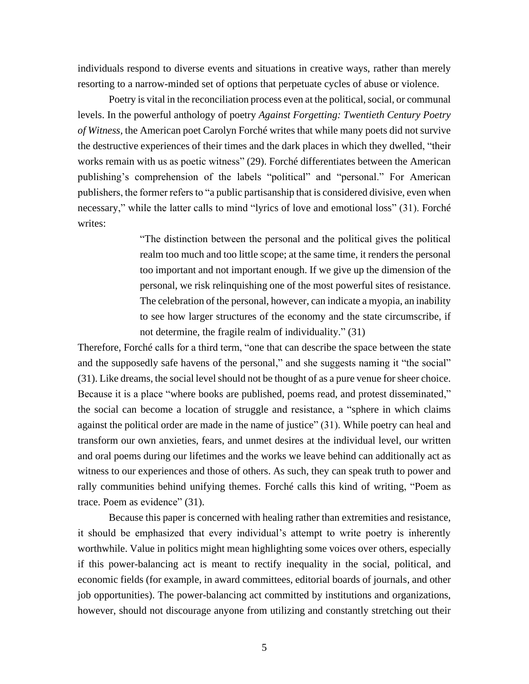individuals respond to diverse events and situations in creative ways, rather than merely resorting to a narrow-minded set of options that perpetuate cycles of abuse or violence.

Poetry is vital in the reconciliation process even at the political, social, or communal levels. In the powerful anthology of poetry *Against Forgetting: Twentieth Century Poetry of Witness,* the American poet Carolyn Forché writes that while many poets did not survive the destructive experiences of their times and the dark places in which they dwelled, "their works remain with us as poetic witness" (29). Forché differentiates between the American publishing's comprehension of the labels "political" and "personal." For American publishers, the former refers to "a public partisanship that is considered divisive, even when necessary," while the latter calls to mind "lyrics of love and emotional loss" (31). Forché writes:

> "The distinction between the personal and the political gives the political realm too much and too little scope; at the same time, it renders the personal too important and not important enough. If we give up the dimension of the personal, we risk relinquishing one of the most powerful sites of resistance. The celebration of the personal, however, can indicate a myopia, an inability to see how larger structures of the economy and the state circumscribe, if not determine, the fragile realm of individuality." (31)

Therefore, Forché calls for a third term, "one that can describe the space between the state and the supposedly safe havens of the personal," and she suggests naming it "the social" (31). Like dreams, the social level should not be thought of as a pure venue for sheer choice. Because it is a place "where books are published, poems read, and protest disseminated," the social can become a location of struggle and resistance, a "sphere in which claims against the political order are made in the name of justice" (31). While poetry can heal and transform our own anxieties, fears, and unmet desires at the individual level, our written and oral poems during our lifetimes and the works we leave behind can additionally act as witness to our experiences and those of others. As such, they can speak truth to power and rally communities behind unifying themes. Forché calls this kind of writing, "Poem as trace. Poem as evidence" (31).

Because this paper is concerned with healing rather than extremities and resistance, it should be emphasized that every individual's attempt to write poetry is inherently worthwhile. Value in politics might mean highlighting some voices over others, especially if this power-balancing act is meant to rectify inequality in the social, political, and economic fields (for example, in award committees, editorial boards of journals, and other job opportunities). The power-balancing act committed by institutions and organizations, however, should not discourage anyone from utilizing and constantly stretching out their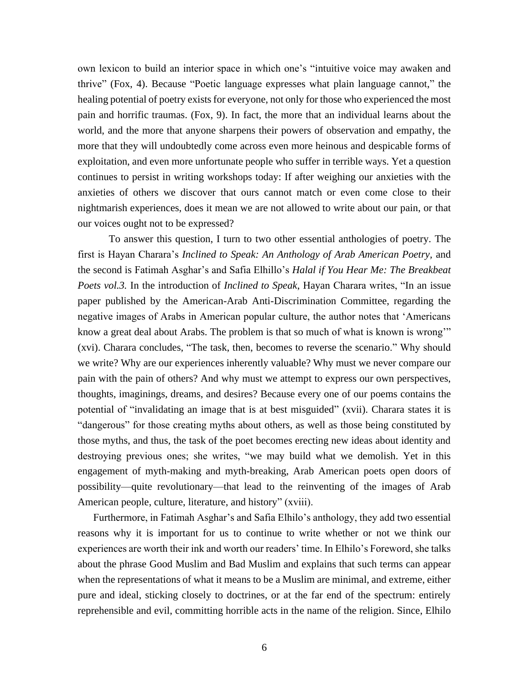own lexicon to build an interior space in which one's "intuitive voice may awaken and thrive" (Fox, 4). Because "Poetic language expresses what plain language cannot," the healing potential of poetry exists for everyone, not only for those who experienced the most pain and horrific traumas. (Fox, 9). In fact, the more that an individual learns about the world, and the more that anyone sharpens their powers of observation and empathy, the more that they will undoubtedly come across even more heinous and despicable forms of exploitation, and even more unfortunate people who suffer in terrible ways. Yet a question continues to persist in writing workshops today: If after weighing our anxieties with the anxieties of others we discover that ours cannot match or even come close to their nightmarish experiences, does it mean we are not allowed to write about our pain, or that our voices ought not to be expressed?

To answer this question, I turn to two other essential anthologies of poetry. The first is Hayan Charara's *Inclined to Speak: An Anthology of Arab American Poetry,* and the second is Fatimah Asghar's and Safia Elhillo's *Halal if You Hear Me: The Breakbeat Poets vol.3.* In the introduction of *Inclined to Speak*, Hayan Charara writes, "In an issue paper published by the American-Arab Anti-Discrimination Committee, regarding the negative images of Arabs in American popular culture, the author notes that 'Americans know a great deal about Arabs. The problem is that so much of what is known is wrong'" (xvi). Charara concludes, "The task, then, becomes to reverse the scenario." Why should we write? Why are our experiences inherently valuable? Why must we never compare our pain with the pain of others? And why must we attempt to express our own perspectives, thoughts, imaginings, dreams, and desires? Because every one of our poems contains the potential of "invalidating an image that is at best misguided" (xvii). Charara states it is "dangerous" for those creating myths about others, as well as those being constituted by those myths, and thus, the task of the poet becomes erecting new ideas about identity and destroying previous ones; she writes, "we may build what we demolish. Yet in this engagement of myth-making and myth-breaking, Arab American poets open doors of possibility—quite revolutionary—that lead to the reinventing of the images of Arab American people, culture, literature, and history" (xviii).

Furthermore, in Fatimah Asghar's and Safia Elhilo's anthology, they add two essential reasons why it is important for us to continue to write whether or not we think our experiences are worth their ink and worth our readers' time. In Elhilo's Foreword, she talks about the phrase Good Muslim and Bad Muslim and explains that such terms can appear when the representations of what it means to be a Muslim are minimal, and extreme, either pure and ideal, sticking closely to doctrines, or at the far end of the spectrum: entirely reprehensible and evil, committing horrible acts in the name of the religion. Since, Elhilo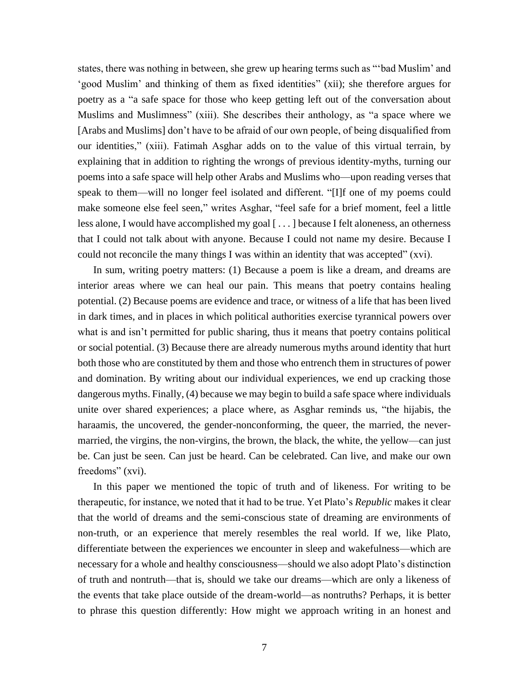states, there was nothing in between, she grew up hearing terms such as "'bad Muslim' and 'good Muslim' and thinking of them as fixed identities" (xii); she therefore argues for poetry as a "a safe space for those who keep getting left out of the conversation about Muslims and Muslimness" (xiii). She describes their anthology, as "a space where we [Arabs and Muslims] don't have to be afraid of our own people, of being disqualified from our identities," (xiii). Fatimah Asghar adds on to the value of this virtual terrain, by explaining that in addition to righting the wrongs of previous identity-myths, turning our poems into a safe space will help other Arabs and Muslims who—upon reading verses that speak to them—will no longer feel isolated and different. "[I]f one of my poems could make someone else feel seen," writes Asghar, "feel safe for a brief moment, feel a little less alone, I would have accomplished my goal [...] because I felt aloneness, an otherness that I could not talk about with anyone. Because I could not name my desire. Because I could not reconcile the many things I was within an identity that was accepted" (xvi).

In sum, writing poetry matters: (1) Because a poem is like a dream, and dreams are interior areas where we can heal our pain. This means that poetry contains healing potential. (2) Because poems are evidence and trace, or witness of a life that has been lived in dark times, and in places in which political authorities exercise tyrannical powers over what is and isn't permitted for public sharing, thus it means that poetry contains political or social potential. (3) Because there are already numerous myths around identity that hurt both those who are constituted by them and those who entrench them in structures of power and domination. By writing about our individual experiences, we end up cracking those dangerous myths. Finally, (4) because we may begin to build a safe space where individuals unite over shared experiences; a place where, as Asghar reminds us, "the hijabis, the haraamis, the uncovered, the gender-nonconforming, the queer, the married, the nevermarried, the virgins, the non-virgins, the brown, the black, the white, the yellow—can just be. Can just be seen. Can just be heard. Can be celebrated. Can live, and make our own freedoms" (xvi).

In this paper we mentioned the topic of truth and of likeness. For writing to be therapeutic, for instance, we noted that it had to be true. Yet Plato's *Republic* makes it clear that the world of dreams and the semi-conscious state of dreaming are environments of non-truth, or an experience that merely resembles the real world. If we, like Plato, differentiate between the experiences we encounter in sleep and wakefulness—which are necessary for a whole and healthy consciousness—should we also adopt Plato's distinction of truth and nontruth—that is, should we take our dreams—which are only a likeness of the events that take place outside of the dream-world—as nontruths? Perhaps, it is better to phrase this question differently: How might we approach writing in an honest and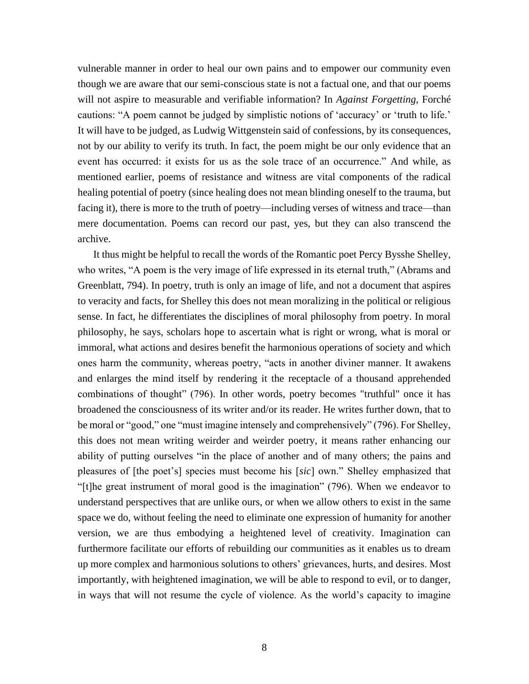vulnerable manner in order to heal our own pains and to empower our community even though we are aware that our semi-conscious state is not a factual one, and that our poems will not aspire to measurable and verifiable information? In *Against Forgetting*, Forché cautions: "A poem cannot be judged by simplistic notions of 'accuracy' or 'truth to life.' It will have to be judged, as Ludwig Wittgenstein said of confessions, by its consequences, not by our ability to verify its truth. In fact, the poem might be our only evidence that an event has occurred: it exists for us as the sole trace of an occurrence." And while, as mentioned earlier, poems of resistance and witness are vital components of the radical healing potential of poetry (since healing does not mean blinding oneself to the trauma, but facing it), there is more to the truth of poetry—including verses of witness and trace—than mere documentation. Poems can record our past, yes, but they can also transcend the archive.

It thus might be helpful to recall the words of the Romantic poet Percy Bysshe Shelley, who writes, "A poem is the very image of life expressed in its eternal truth," (Abrams and Greenblatt, 794). In poetry, truth is only an image of life, and not a document that aspires to veracity and facts, for Shelley this does not mean moralizing in the political or religious sense. In fact, he differentiates the disciplines of moral philosophy from poetry. In moral philosophy, he says, scholars hope to ascertain what is right or wrong, what is moral or immoral, what actions and desires benefit the harmonious operations of society and which ones harm the community, whereas poetry, "acts in another diviner manner. It awakens and enlarges the mind itself by rendering it the receptacle of a thousand apprehended combinations of thought" (796). In other words, poetry becomes "truthful" once it has broadened the consciousness of its writer and/or its reader. He writes further down, that to be moral or "good," one "must imagine intensely and comprehensively" (796). For Shelley, this does not mean writing weirder and weirder poetry, it means rather enhancing our ability of putting ourselves "in the place of another and of many others; the pains and pleasures of [the poet's] species must become his [*sic*] own." Shelley emphasized that "[t]he great instrument of moral good is the imagination" (796). When we endeavor to understand perspectives that are unlike ours, or when we allow others to exist in the same space we do, without feeling the need to eliminate one expression of humanity for another version, we are thus embodying a heightened level of creativity. Imagination can furthermore facilitate our efforts of rebuilding our communities as it enables us to dream up more complex and harmonious solutions to others' grievances, hurts, and desires. Most importantly, with heightened imagination, we will be able to respond to evil, or to danger, in ways that will not resume the cycle of violence. As the world's capacity to imagine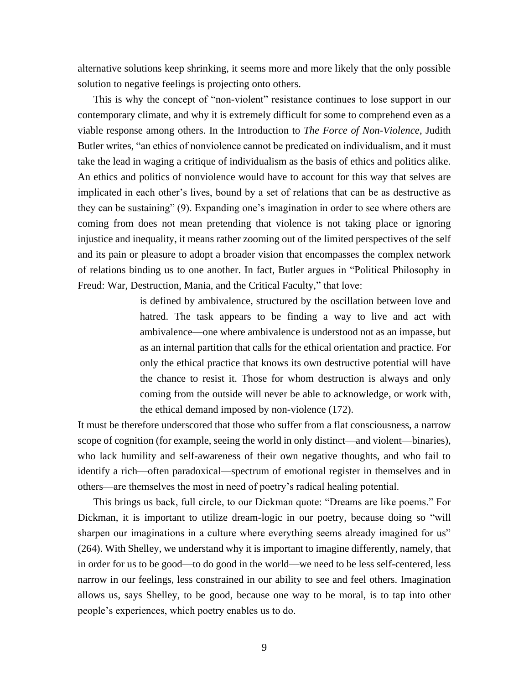alternative solutions keep shrinking, it seems more and more likely that the only possible solution to negative feelings is projecting onto others.

This is why the concept of "non-violent" resistance continues to lose support in our contemporary climate, and why it is extremely difficult for some to comprehend even as a viable response among others. In the Introduction to *The Force of Non-Violence*, Judith Butler writes, "an ethics of nonviolence cannot be predicated on individualism, and it must take the lead in waging a critique of individualism as the basis of ethics and politics alike. An ethics and politics of nonviolence would have to account for this way that selves are implicated in each other's lives, bound by a set of relations that can be as destructive as they can be sustaining" (9). Expanding one's imagination in order to see where others are coming from does not mean pretending that violence is not taking place or ignoring injustice and inequality, it means rather zooming out of the limited perspectives of the self and its pain or pleasure to adopt a broader vision that encompasses the complex network of relations binding us to one another. In fact, Butler argues in "Political Philosophy in Freud: War, Destruction, Mania, and the Critical Faculty," that love:

> is defined by ambivalence, structured by the oscillation between love and hatred. The task appears to be finding a way to live and act with ambivalence—one where ambivalence is understood not as an impasse, but as an internal partition that calls for the ethical orientation and practice. For only the ethical practice that knows its own destructive potential will have the chance to resist it. Those for whom destruction is always and only coming from the outside will never be able to acknowledge, or work with, the ethical demand imposed by non-violence (172).

It must be therefore underscored that those who suffer from a flat consciousness, a narrow scope of cognition (for example, seeing the world in only distinct—and violent—binaries), who lack humility and self-awareness of their own negative thoughts, and who fail to identify a rich—often paradoxical—spectrum of emotional register in themselves and in others—are themselves the most in need of poetry's radical healing potential.

This brings us back, full circle, to our Dickman quote: "Dreams are like poems." For Dickman, it is important to utilize dream-logic in our poetry, because doing so "will sharpen our imaginations in a culture where everything seems already imagined for us" (264). With Shelley, we understand why it is important to imagine differently, namely, that in order for us to be good—to do good in the world—we need to be less self-centered, less narrow in our feelings, less constrained in our ability to see and feel others. Imagination allows us, says Shelley, to be good, because one way to be moral, is to tap into other people's experiences, which poetry enables us to do.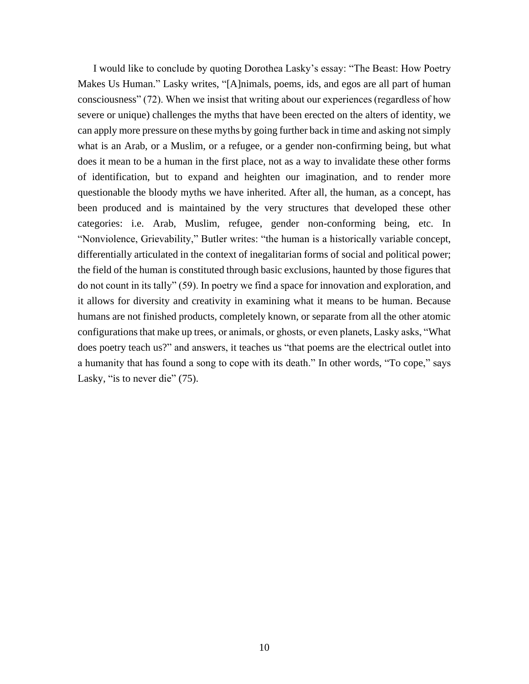I would like to conclude by quoting Dorothea Lasky's essay: "The Beast: How Poetry Makes Us Human." Lasky writes, "[A]nimals, poems, ids, and egos are all part of human consciousness" (72). When we insist that writing about our experiences (regardless of how severe or unique) challenges the myths that have been erected on the alters of identity, we can apply more pressure on these myths by going further back in time and asking not simply what is an Arab, or a Muslim, or a refugee, or a gender non-confirming being, but what does it mean to be a human in the first place, not as a way to invalidate these other forms of identification, but to expand and heighten our imagination, and to render more questionable the bloody myths we have inherited. After all, the human, as a concept, has been produced and is maintained by the very structures that developed these other categories: i.e. Arab, Muslim, refugee, gender non-conforming being, etc. In "Nonviolence, Grievability," Butler writes: "the human is a historically variable concept, differentially articulated in the context of inegalitarian forms of social and political power; the field of the human is constituted through basic exclusions, haunted by those figures that do not count in its tally" (59). In poetry we find a space for innovation and exploration, and it allows for diversity and creativity in examining what it means to be human. Because humans are not finished products, completely known, or separate from all the other atomic configurations that make up trees, or animals, or ghosts, or even planets, Lasky asks, "What does poetry teach us?" and answers, it teaches us "that poems are the electrical outlet into a humanity that has found a song to cope with its death." In other words, "To cope," says Lasky, "is to never die" (75).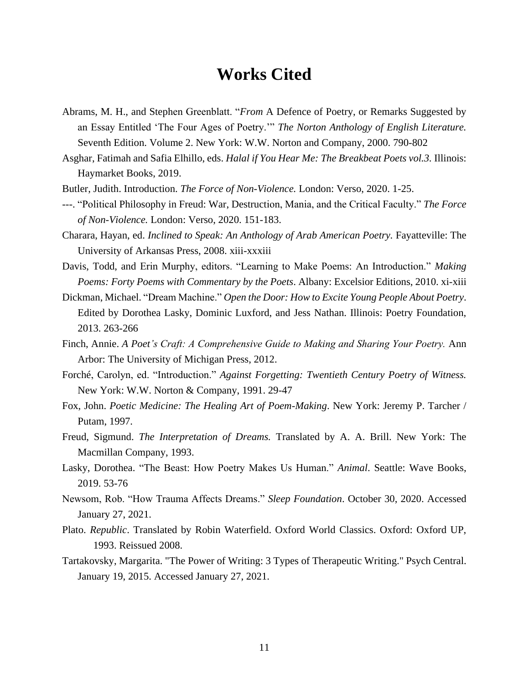### **Works Cited**

- <span id="page-13-0"></span>Abrams, M. H., and Stephen Greenblatt. "*From* A Defence of Poetry, or Remarks Suggested by an Essay Entitled 'The Four Ages of Poetry.'" *The Norton Anthology of English Literature.*  Seventh Edition. Volume 2. New York: W.W. Norton and Company, 2000. 790-802
- Asghar, Fatimah and Safia Elhillo, eds. *Halal if You Hear Me: The Breakbeat Poets vol.3.* Illinois: Haymarket Books, 2019.
- Butler, Judith. Introduction. *The Force of Non-Violence.* London: Verso, 2020. 1-25.
- ---. "Political Philosophy in Freud: War, Destruction, Mania, and the Critical Faculty." *The Force of Non-Violence.* London: Verso, 2020. 151-183.
- Charara, Hayan, ed. *Inclined to Speak: An Anthology of Arab American Poetry.* Fayatteville: The University of Arkansas Press, 2008. xiii-xxxiii
- Davis, Todd, and Erin Murphy, editors. "Learning to Make Poems: An Introduction." *Making Poems: Forty Poems with Commentary by the Poets*. Albany: Excelsior Editions, 2010. xi-xiii
- Dickman, Michael. "Dream Machine." *Open the Door: How to Excite Young People About Poetry*. Edited by Dorothea Lasky, Dominic Luxford, and Jess Nathan. Illinois: Poetry Foundation, 2013. 263-266
- Finch, Annie. *A Poet's Craft: A Comprehensive Guide to Making and Sharing Your Poetry.* Ann Arbor: The University of Michigan Press, 2012.
- Forché, Carolyn, ed. "Introduction." *Against Forgetting: Twentieth Century Poetry of Witness.* New York: W.W. Norton & Company, 1991. 29-47
- Fox, John. *Poetic Medicine: The Healing Art of Poem-Making*. New York: Jeremy P. Tarcher / Putam, 1997.
- Freud, Sigmund. *The Interpretation of Dreams.* Translated by A. A. Brill. New York: The Macmillan Company, 1993.
- Lasky, Dorothea. "The Beast: How Poetry Makes Us Human." *Animal*. Seattle: Wave Books, 2019. 53-76
- Newsom, Rob. "How Trauma Affects Dreams." *Sleep Foundation*. October 30, 2020. Accessed January 27, 2021.
- Plato. *Republic*. Translated by Robin Waterfield. Oxford World Classics. Oxford: Oxford UP, 1993. Reissued 2008.
- Tartakovsky, Margarita. "The Power of Writing: 3 Types of Therapeutic Writing." Psych Central. January 19, 2015. Accessed January 27, 2021.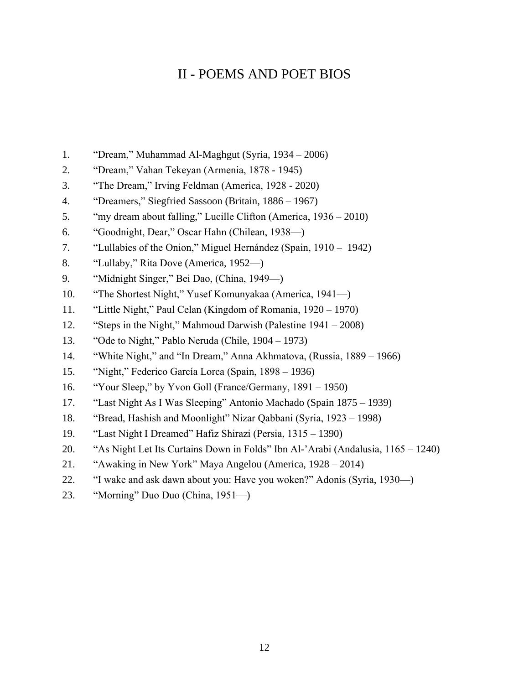### II - POEMS AND POET BIOS

- <span id="page-14-0"></span>1. "Dream," Muhammad Al-Maghgut (Syria, 1934 – 2006)
- 2. "Dream," Vahan Tekeyan (Armenia, 1878 1945)
- 3. "The Dream," Irving Feldman (America, 1928 2020)
- 4. "Dreamers," Siegfried Sassoon (Britain, 1886 1967)
- 5. "my dream about falling," Lucille Clifton (America, 1936 2010)
- 6. "Goodnight, Dear," Oscar Hahn (Chilean, 1938—)
- 7. "Lullabies of the Onion," Miguel Hernández (Spain, 1910 1942)
- 8. "Lullaby," Rita Dove (America, 1952—)
- 9. "Midnight Singer," Bei Dao, (China, 1949—)
- 10. "The Shortest Night," Yusef Komunyakaa (America, 1941—)
- 11. "Little Night," Paul Celan (Kingdom of Romania, 1920 1970)
- 12. "Steps in the Night," Mahmoud Darwish (Palestine 1941 2008)
- 13. "Ode to Night," Pablo Neruda (Chile, 1904 1973)
- 14. "White Night," and "In Dream," Anna Akhmatova, (Russia, 1889 1966)
- 15. "Night," Federico García Lorca (Spain, 1898 1936)
- 16. "Your Sleep," by Yvon Goll (France/Germany, 1891 1950)
- 17. "Last Night As I Was Sleeping" Antonio Machado (Spain 1875 1939)
- 18. "Bread, Hashish and Moonlight" Nizar Qabbani (Syria, 1923 1998)
- 19. "Last Night I Dreamed" Hafiz Shirazi (Persia, 1315 1390)
- 20. "As Night Let Its Curtains Down in Folds" Ibn Al-'Arabi (Andalusia, 1165 1240)
- 21. "Awaking in New York" Maya Angelou (America, 1928 2014)
- 22. "I wake and ask dawn about you: Have you woken?" Adonis (Syria, 1930—)
- 23. "Morning" Duo Duo (China, 1951—)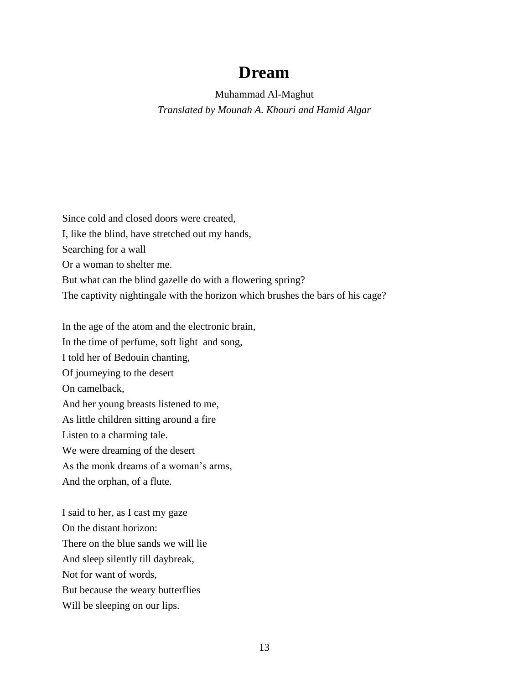### **Dream**

Muhammad Al-Maghut

<span id="page-15-0"></span>*Translated by Mounah A. Khouri and Hamid Algar*

Since cold and closed doors were created, I, like the blind, have stretched out my hands, Searching for a wall Or a woman to shelter me. But what can the blind gazelle do with a flowering spring? The captivity nightingale with the horizon which brushes the bars of his cage?

In the age of the atom and the electronic brain, In the time of perfume, soft light and song, I told her of Bedouin chanting, Of journeying to the desert On camelback, And her young breasts listened to me, As little children sitting around a fire Listen to a charming tale. We were dreaming of the desert As the monk dreams of a woman's arms, And the orphan, of a flute.

I said to her, as I cast my gaze On the distant horizon: There on the blue sands we will lie And sleep silently till daybreak, Not for want of words, But because the weary butterflies Will be sleeping on our lips.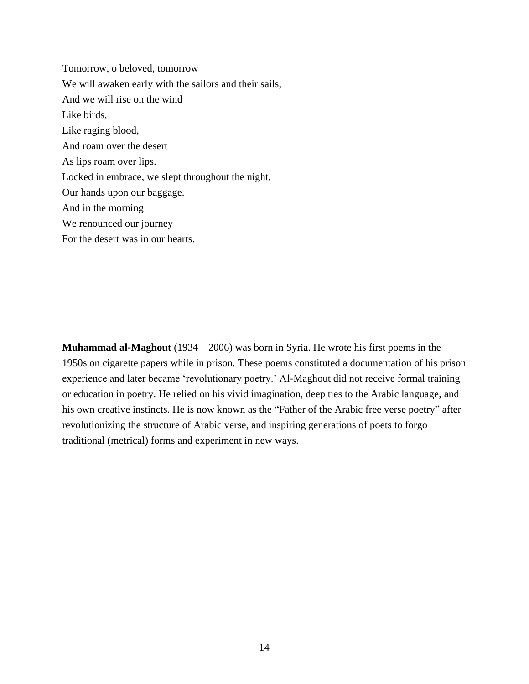Tomorrow, o beloved, tomorrow We will awaken early with the sailors and their sails, And we will rise on the wind Like birds, Like raging blood, And roam over the desert As lips roam over lips. Locked in embrace, we slept throughout the night, Our hands upon our baggage. And in the morning We renounced our journey For the desert was in our hearts.

**Muhammad al-Maghout** (1934 – 2006) was born in Syria. He wrote his first poems in the 1950s on cigarette papers while in prison. These poems constituted a documentation of his prison experience and later became 'revolutionary poetry.' Al-Maghout did not receive formal training or education in poetry. He relied on his vivid imagination, deep ties to the Arabic language, and his own creative instincts. He is now known as the "Father of the Arabic free verse poetry" after revolutionizing the structure of Arabic verse, and inspiring generations of poets to forgo traditional (metrical) forms and experiment in new ways.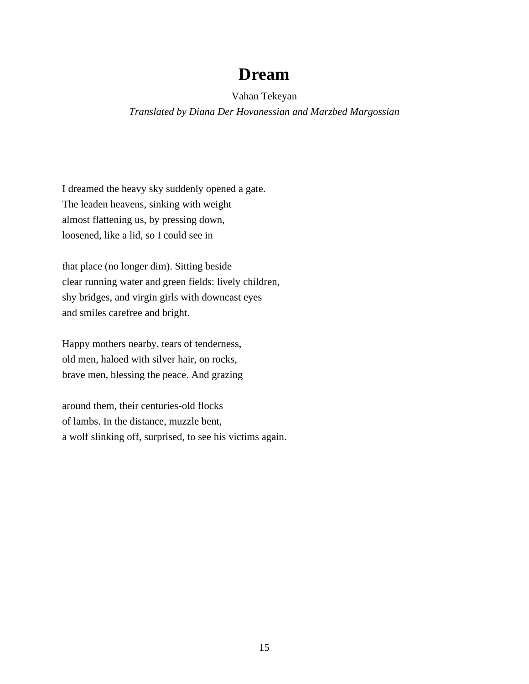### **Dream**

Vahan Tekeyan

<span id="page-17-0"></span>*Translated by Diana Der Hovanessian and Marzbed Margossian*

I dreamed the heavy sky suddenly opened a gate. The leaden heavens, sinking with weight almost flattening us, by pressing down, loosened, like a lid, so I could see in

that place (no longer dim). Sitting beside clear running water and green fields: lively children, shy bridges, and virgin girls with downcast eyes and smiles carefree and bright.

Happy mothers nearby, tears of tenderness, old men, haloed with silver hair, on rocks, brave men, blessing the peace. And grazing

around them, their centuries-old flocks of lambs. In the distance, muzzle bent, a wolf slinking off, surprised, to see his victims again.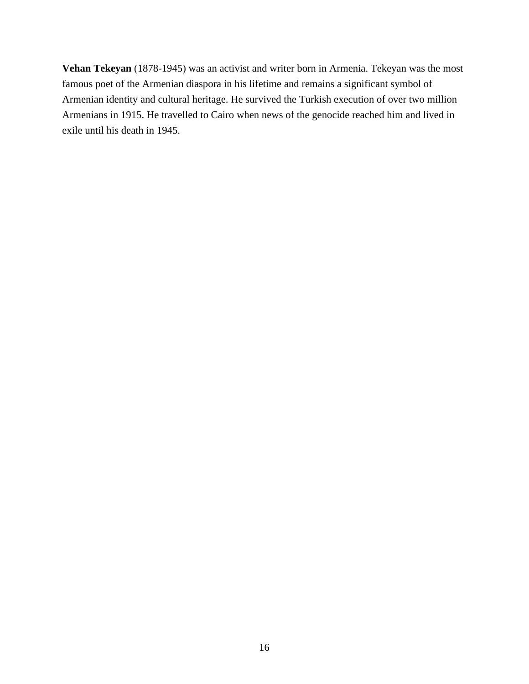**Vehan Tekeyan** (1878-1945) was an activist and writer born in Armenia. Tekeyan was the most famous poet of the Armenian diaspora in his lifetime and remains a significant symbol of Armenian identity and cultural heritage. He survived the Turkish execution of over two million Armenians in 1915. He travelled to Cairo when news of the genocide reached him and lived in exile until his death in 1945.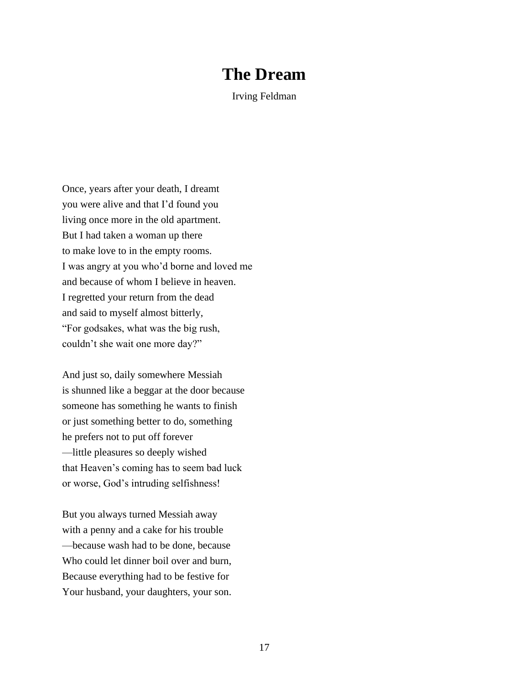### **The Dream**

Irving Feldman

<span id="page-19-0"></span>Once, years after your death, I dreamt you were alive and that I'd found you living once more in the old apartment. But I had taken a woman up there to make love to in the empty rooms. I was angry at you who'd borne and loved me and because of whom I believe in heaven. I regretted your return from the dead and said to myself almost bitterly, "For godsakes, what was the big rush, couldn't she wait one more day?"

And just so, daily somewhere Messiah is shunned like a beggar at the door because someone has something he wants to finish or just something better to do, something he prefers not to put off forever —little pleasures so deeply wished that Heaven's coming has to seem bad luck or worse, God's intruding selfishness!

But you always turned Messiah away with a penny and a cake for his trouble —because wash had to be done, because Who could let dinner boil over and burn, Because everything had to be festive for Your husband, your daughters, your son.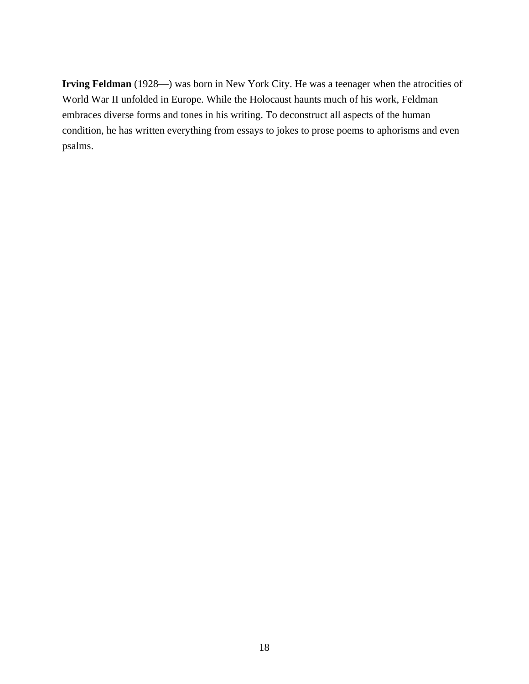**Irving Feldman** (1928—) was born in New York City. He was a teenager when the atrocities of World War II unfolded in Europe. While the Holocaust haunts much of his work, Feldman embraces diverse forms and tones in his writing. To deconstruct all aspects of the human condition, he has written everything from essays to jokes to prose poems to aphorisms and even psalms.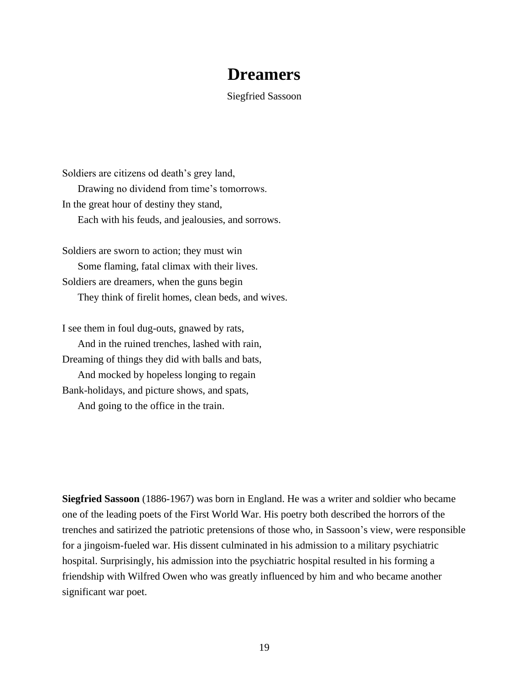### **Dreamers**

Siegfried Sassoon

<span id="page-21-0"></span>Soldiers are citizens od death's grey land, Drawing no dividend from time's tomorrows. In the great hour of destiny they stand, Each with his feuds, and jealousies, and sorrows.

Soldiers are sworn to action; they must win Some flaming, fatal climax with their lives. Soldiers are dreamers, when the guns begin They think of firelit homes, clean beds, and wives.

I see them in foul dug-outs, gnawed by rats, And in the ruined trenches, lashed with rain, Dreaming of things they did with balls and bats, And mocked by hopeless longing to regain Bank-holidays, and picture shows, and spats, And going to the office in the train.

**Siegfried Sassoon** (1886-1967) was born in England. He was a writer and soldier who became one of the leading poets of the First World War. His poetry both described the horrors of the trenches and satirized the patriotic pretensions of those who, in Sassoon's view, were responsible for a jingoism-fueled war. His dissent culminated in his admission to a military psychiatric hospital. Surprisingly, his admission into the psychiatric hospital resulted in his forming a friendship with Wilfred Owen who was greatly influenced by him and who became another significant war poet.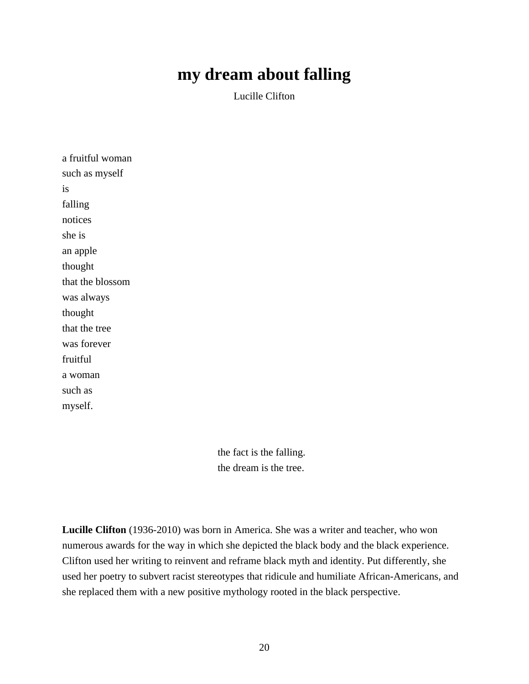# **my dream about falling**

Lucille Clifton

<span id="page-22-0"></span>a fruitful woman such as myself is falling notices she is an apple thought that the blossom was always thought that the tree was forever fruitful a woman such as myself.

> the fact is the falling. the dream is the tree.

**Lucille Clifton** (1936-2010) was born in America. She was a writer and teacher, who won numerous awards for the way in which she depicted the black body and the black experience. Clifton used her writing to reinvent and reframe black myth and identity. Put differently, she used her poetry to subvert racist stereotypes that ridicule and humiliate African-Americans, and she replaced them with a new positive mythology rooted in the black perspective.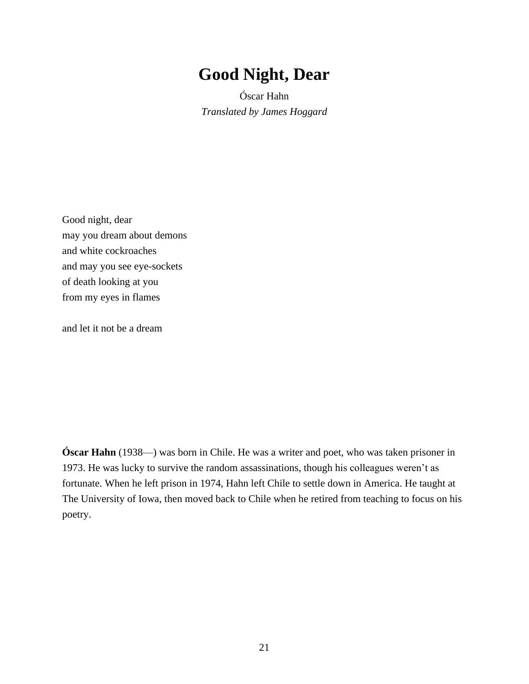## <span id="page-23-0"></span>**Good Night, Dear**

Óscar Hahn *Translated by James Hoggard*

Good night, dear may you dream about demons and white cockroaches and may you see eye-sockets of death looking at you from my eyes in flames

and let it not be a dream

**Óscar Hahn** (1938—) was born in Chile. He was a writer and poet, who was taken prisoner in 1973. He was lucky to survive the random assassinations, though his colleagues weren't as fortunate. When he left prison in 1974, Hahn left Chile to settle down in America. He taught at The University of Iowa, then moved back to Chile when he retired from teaching to focus on his poetry.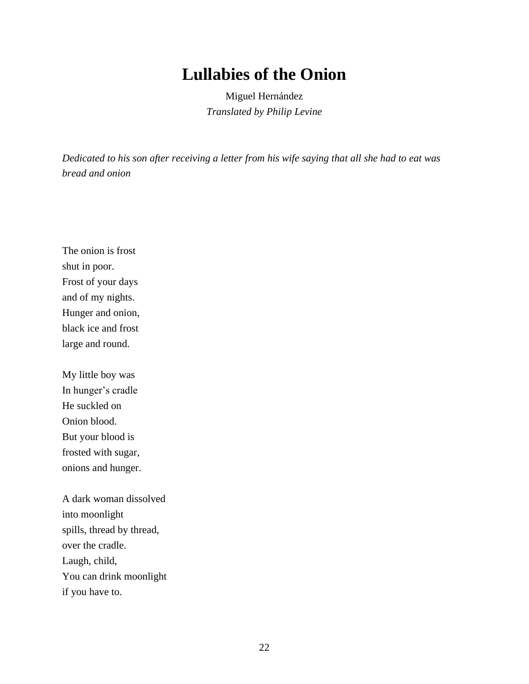## **Lullabies of the Onion**

Miguel Hernández *Translated by Philip Levine*

<span id="page-24-0"></span>*Dedicated to his son after receiving a letter from his wife saying that all she had to eat was bread and onion*

The onion is frost shut in poor. Frost of your days and of my nights. Hunger and onion, black ice and frost large and round.

My little boy was In hunger's cradle He suckled on Onion blood. But your blood is frosted with sugar, onions and hunger.

A dark woman dissolved into moonlight spills, thread by thread, over the cradle. Laugh, child, You can drink moonlight if you have to.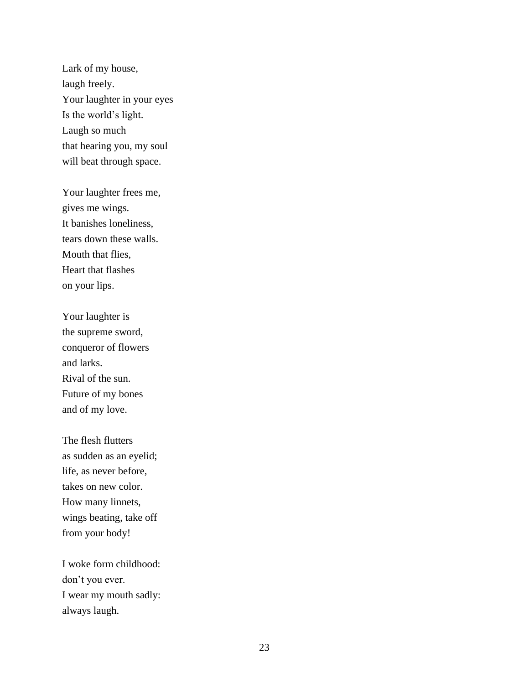Lark of my house, laugh freely. Your laughter in your eyes Is the world's light. Laugh so much that hearing you, my soul will beat through space.

Your laughter frees me, gives me wings. It banishes loneliness, tears down these walls. Mouth that flies, Heart that flashes on your lips.

Your laughter is the supreme sword, conqueror of flowers and larks. Rival of the sun. Future of my bones and of my love.

The flesh flutters as sudden as an eyelid; life, as never before, takes on new color. How many linnets, wings beating, take off from your body!

I woke form childhood: don't you ever. I wear my mouth sadly: always laugh.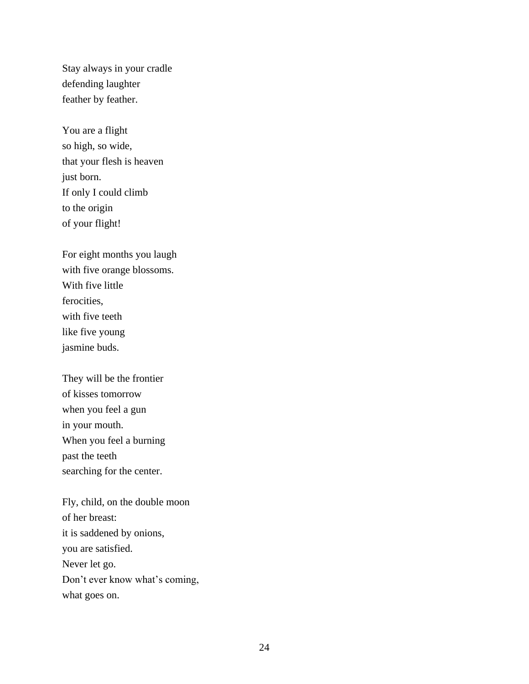Stay always in your cradle defending laughter feather by feather.

You are a flight so high, so wide, that your flesh is heaven just born. If only I could climb to the origin of your flight!

For eight months you laugh with five orange blossoms. With five little ferocities, with five teeth like five young jasmine buds.

They will be the frontier of kisses tomorrow when you feel a gun in your mouth. When you feel a burning past the teeth searching for the center.

Fly, child, on the double moon of her breast: it is saddened by onions, you are satisfied. Never let go. Don't ever know what's coming, what goes on.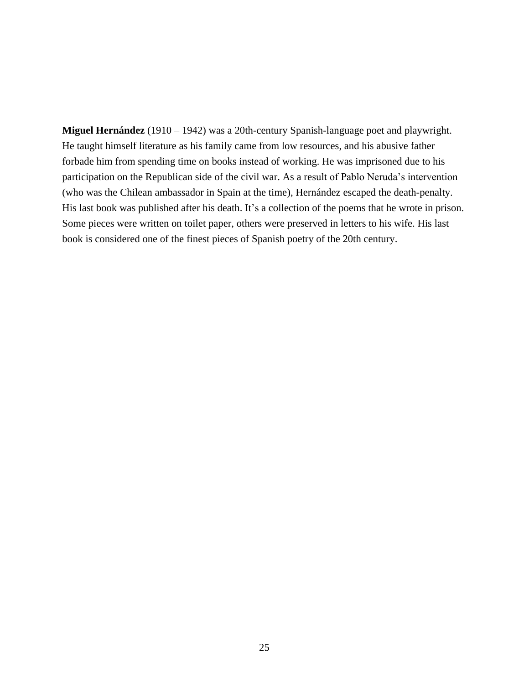**Miguel Hernández** (1910 – 1942) was a 20th-century Spanish-language poet and playwright. He taught himself literature as his family came from low resources, and his abusive father forbade him from spending time on books instead of working. He was imprisoned due to his participation on the Republican side of the civil war. As a result of Pablo Neruda's intervention (who was the Chilean ambassador in Spain at the time), Hernández escaped the death-penalty. His last book was published after his death. It's a collection of the poems that he wrote in prison. Some pieces were written on toilet paper, others were preserved in letters to his wife. His last book is considered one of the finest pieces of Spanish poetry of the 20th century.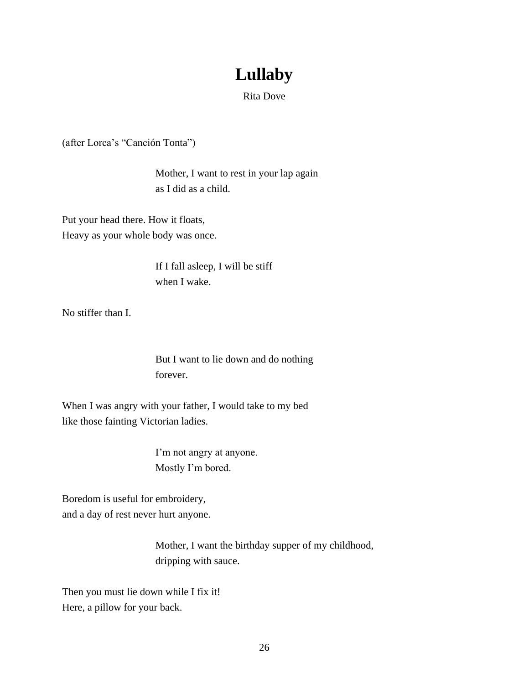# **Lullaby**

Rita Dove

<span id="page-28-0"></span>(after Lorca's "Canción Tonta")

Mother, I want to rest in your lap again as I did as a child.

Put your head there. How it floats, Heavy as your whole body was once.

> If I fall asleep, I will be stiff when I wake.

No stiffer than I.

But I want to lie down and do nothing forever.

When I was angry with your father, I would take to my bed like those fainting Victorian ladies.

> I'm not angry at anyone. Mostly I'm bored.

Boredom is useful for embroidery, and a day of rest never hurt anyone.

> Mother, I want the birthday supper of my childhood, dripping with sauce.

Then you must lie down while I fix it! Here, a pillow for your back.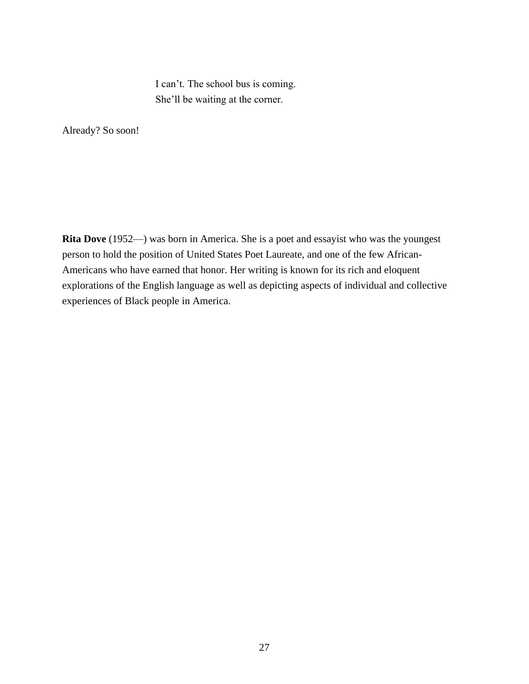I can't. The school bus is coming. She'll be waiting at the corner.

Already? So soon!

**Rita Dove** (1952—) was born in America. She is a poet and essayist who was the youngest person to hold the position of United States Poet Laureate, and one of the few African-Americans who have earned that honor. Her writing is known for its rich and eloquent explorations of the English language as well as depicting aspects of individual and collective experiences of Black people in America.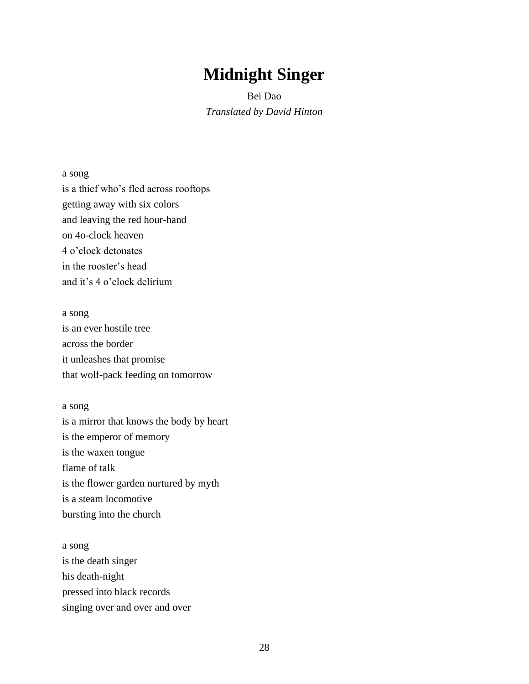## **Midnight Singer**

Bei Dao *Translated by David Hinton*

<span id="page-30-0"></span>a song is a thief who's fled across rooftops getting away with six colors and leaving the red hour-hand on 4o-clock heaven 4 o'clock detonates in the rooster's head and it's 4 o'clock delirium

a song is an ever hostile tree across the border it unleashes that promise that wolf-pack feeding on tomorrow

a song is a mirror that knows the body by heart is the emperor of memory is the waxen tongue flame of talk is the flower garden nurtured by myth is a steam locomotive bursting into the church

a song is the death singer his death-night pressed into black records singing over and over and over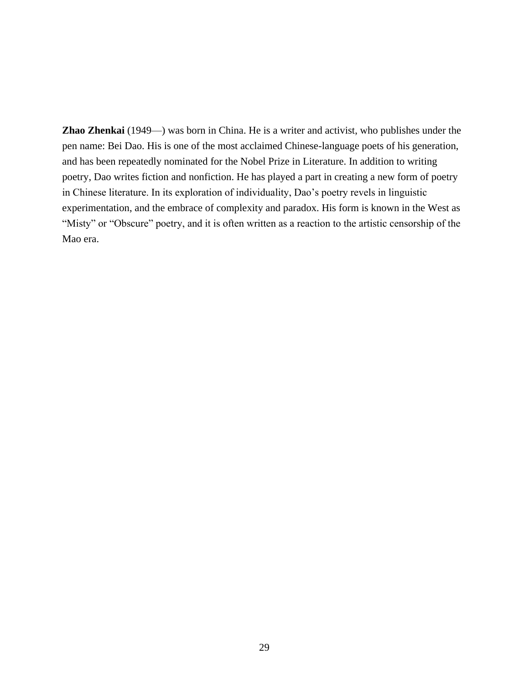**Zhao Zhenkai** (1949—) was born in China. He is a writer and activist, who publishes under the pen name: Bei Dao. His is one of the most acclaimed Chinese-language poets of his generation, and has been repeatedly nominated for the Nobel Prize in Literature. In addition to writing poetry, Dao writes fiction and nonfiction. He has played a part in creating a new form of poetry in Chinese literature. In its exploration of individuality, Dao's poetry revels in linguistic experimentation, and the embrace of complexity and paradox. His form is known in the West as "Misty" or "Obscure" poetry, and it is often written as a reaction to the artistic censorship of the Mao era.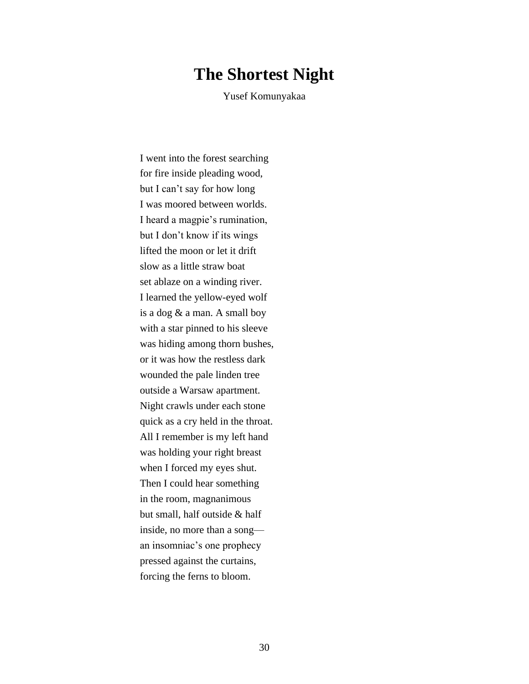### **The Shortest Night**

Yusef Komunyakaa

<span id="page-32-0"></span>I went into the forest searching for fire inside pleading wood, but I can't say for how long I was moored between worlds. I heard a magpie's rumination, but I don't know if its wings lifted the moon or let it drift slow as a little straw boat set ablaze on a winding river. I learned the yellow-eyed wolf is a dog & a man. A small boy with a star pinned to his sleeve was hiding among thorn bushes, or it was how the restless dark wounded the pale linden tree outside a Warsaw apartment. Night crawls under each stone quick as a cry held in the throat. All I remember is my left hand was holding your right breast when I forced my eyes shut. Then I could hear something in the room, magnanimous but small, half outside & half inside, no more than a song an insomniac's one prophecy pressed against the curtains, forcing the ferns to bloom.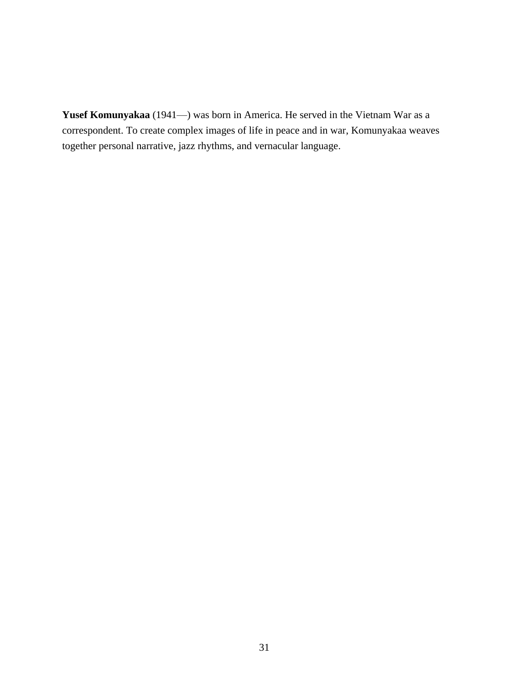**Yusef Komunyakaa** (1941—) was born in America. He served in the Vietnam War as a correspondent. To create complex images of life in peace and in war, Komunyakaa weaves together personal narrative, jazz rhythms, and vernacular language.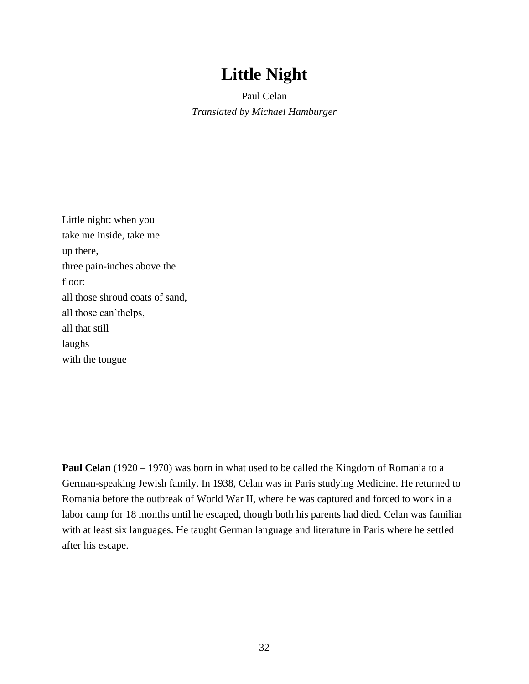## **Little Night**

#### <span id="page-34-0"></span>Paul Celan *Translated by Michael Hamburger*

Little night: when you take me inside, take me up there, three pain-inches above the floor: all those shroud coats of sand, all those can'thelps, all that still laughs with the tongue—

**Paul Celan** (1920 – 1970) was born in what used to be called the Kingdom of Romania to a German-speaking Jewish family. In 1938, Celan was in Paris studying Medicine. He returned to Romania before the outbreak of World War II, where he was captured and forced to work in a labor camp for 18 months until he escaped, though both his parents had died. Celan was familiar with at least six languages. He taught German language and literature in Paris where he settled after his escape.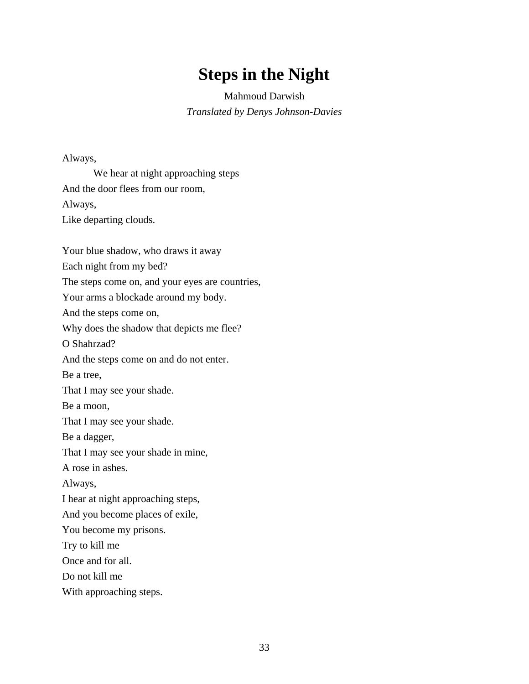# **Steps in the Night**

### Mahmoud Darwish *Translated by Denys Johnson-Davies*

<span id="page-35-0"></span>Always, We hear at night approaching steps And the door flees from our room, Always, Like departing clouds. Your blue shadow, who draws it away Each night from my bed? The steps come on, and your eyes are countries, Your arms a blockade around my body. And the steps come on, Why does the shadow that depicts me flee? O Shahrzad? And the steps come on and do not enter. Be a tree, That I may see your shade. Be a moon, That I may see your shade. Be a dagger, That I may see your shade in mine, A rose in ashes. Always, I hear at night approaching steps, And you become places of exile, You become my prisons. Try to kill me Once and for all. Do not kill me

With approaching steps.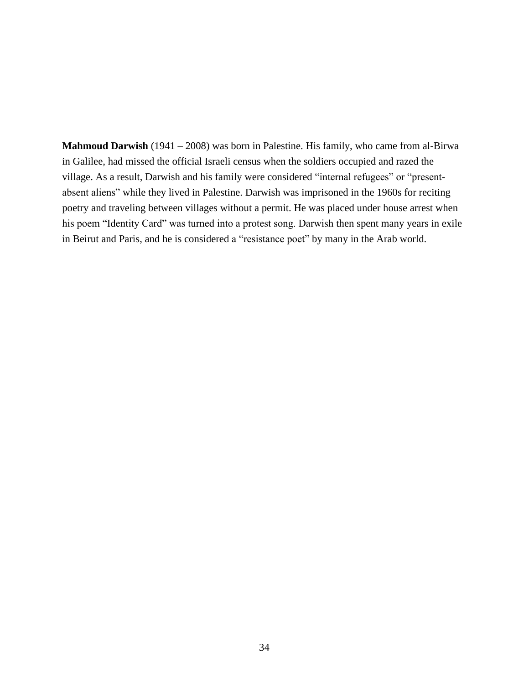**Mahmoud Darwish** (1941 – 2008) was born in Palestine. His family, who came from al-Birwa in Galilee, had missed the official Israeli census when the soldiers occupied and razed the village. As a result, Darwish and his family were considered "internal refugees" or "presentabsent aliens" while they lived in Palestine. Darwish was imprisoned in the 1960s for reciting poetry and traveling between villages without a permit. He was placed under house arrest when his poem "Identity Card" was turned into a protest song. Darwish then spent many years in exile in Beirut and Paris, and he is considered a "resistance poet" by many in the Arab world.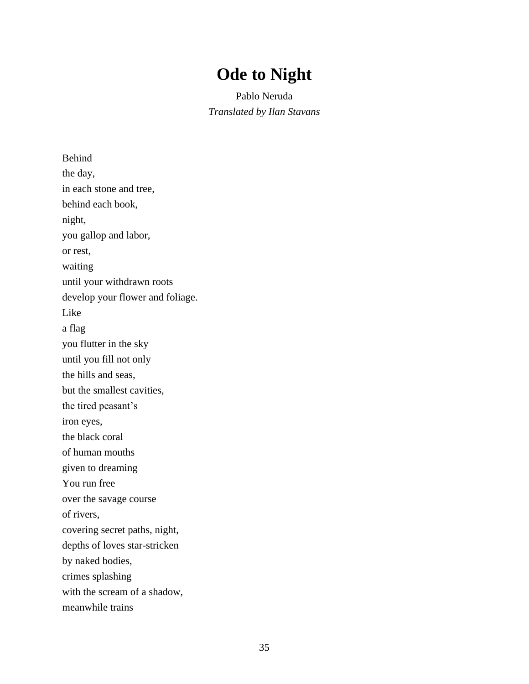## **Ode to Night**

### Pablo Neruda *Translated by Ilan Stavans*

<span id="page-37-0"></span>Behind the day, in each stone and tree, behind each book, night, you gallop and labor, or rest, waiting until your withdrawn roots develop your flower and foliage. Like a flag you flutter in the sky until you fill not only the hills and seas, but the smallest cavities, the tired peasant's iron eyes, the black coral of human mouths given to dreaming You run free over the savage course of rivers, covering secret paths, night, depths of loves star-stricken by naked bodies, crimes splashing with the scream of a shadow, meanwhile trains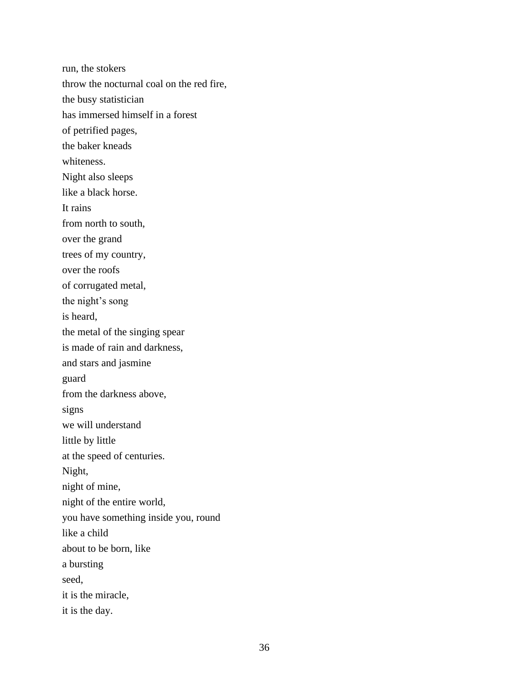run, the stokers throw the nocturnal coal on the red fire, the busy statistician has immersed himself in a forest of petrified pages, the baker kneads whiteness. Night also sleeps like a black horse. It rains from north to south, over the grand trees of my country, over the roofs of corrugated metal, the night's song is heard, the metal of the singing spear is made of rain and darkness, and stars and jasmine guard from the darkness above, signs we will understand little by little at the speed of centuries. Night, night of mine, night of the entire world, you have something inside you, round like a child about to be born, like a bursting seed, it is the miracle, it is the day.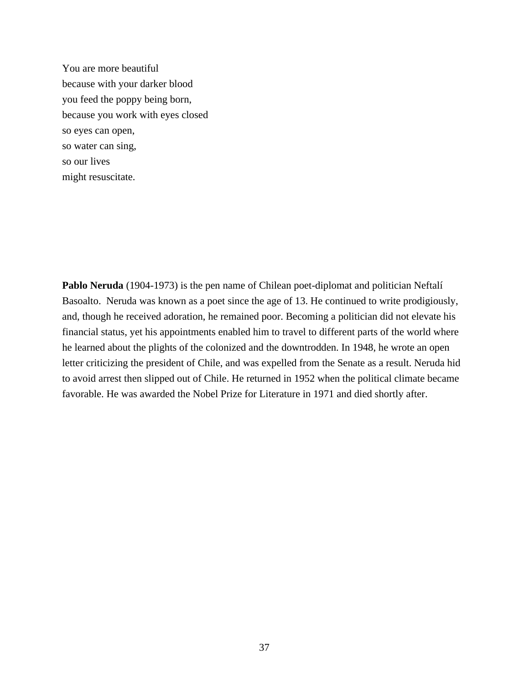You are more beautiful because with your darker blood you feed the poppy being born, because you work with eyes closed so eyes can open, so water can sing, so our lives might resuscitate.

**Pablo Neruda** (1904-1973) is the pen name of Chilean poet-diplomat and politician Neftalí Basoalto. Neruda was known as a poet since the age of 13. He continued to write prodigiously, and, though he received adoration, he remained poor. Becoming a politician did not elevate his financial status, yet his appointments enabled him to travel to different parts of the world where he learned about the plights of the colonized and the downtrodden. In 1948, he wrote an open letter criticizing the president of Chile, and was expelled from the Senate as a result. Neruda hid to avoid arrest then slipped out of Chile. He returned in 1952 when the political climate became favorable. He was awarded the Nobel Prize for Literature in 1971 and died shortly after.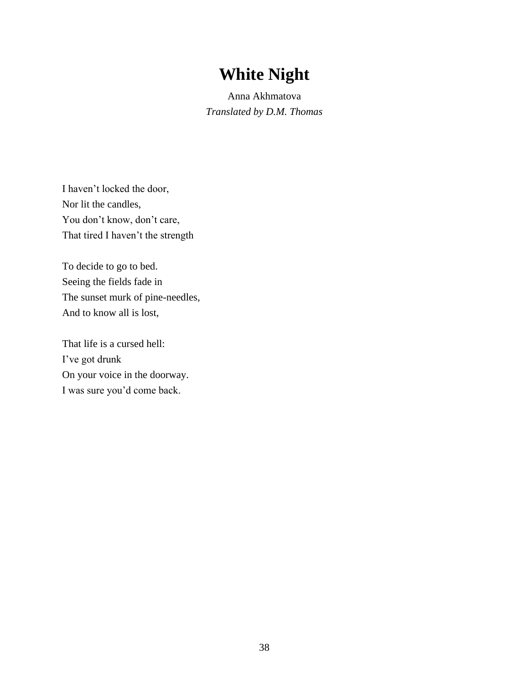# **White Night**

Anna Akhmatova *Translated by D.M. Thomas*

<span id="page-40-0"></span>I haven't locked the door, Nor lit the candles, You don't know, don't care, That tired I haven't the strength

To decide to go to bed. Seeing the fields fade in The sunset murk of pine-needles, And to know all is lost,

That life is a cursed hell: I've got drunk On your voice in the doorway. I was sure you'd come back.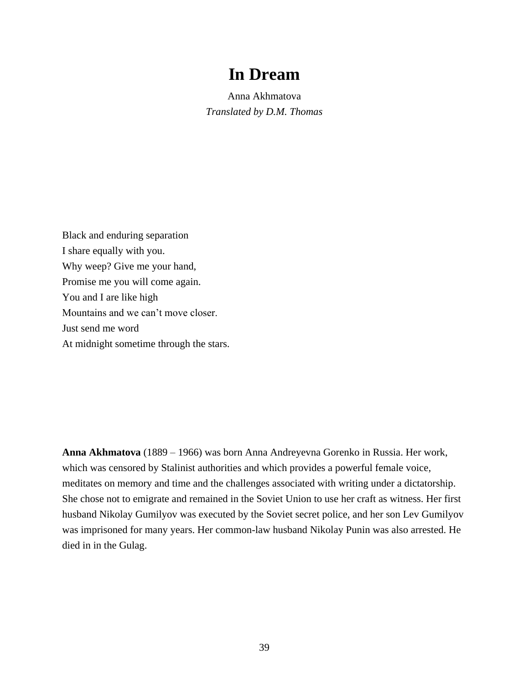### **In Dream**

<span id="page-41-0"></span>Anna Akhmatova *Translated by D.M. Thomas*

Black and enduring separation I share equally with you. Why weep? Give me your hand, Promise me you will come again. You and I are like high Mountains and we can't move closer. Just send me word At midnight sometime through the stars.

**Anna Akhmatova** (1889 – 1966) was born Anna Andreyevna Gorenko in Russia. Her work, which was censored by Stalinist authorities and which provides a powerful female voice, meditates on memory and time and the challenges associated with writing under a dictatorship. She chose not to emigrate and remained in the Soviet Union to use her craft as witness. Her first husband Nikolay Gumilyov was executed by the Soviet secret police, and her son Lev Gumilyov was imprisoned for many years. Her common-law husband Nikolay Punin was also arrested. He died in in the Gulag.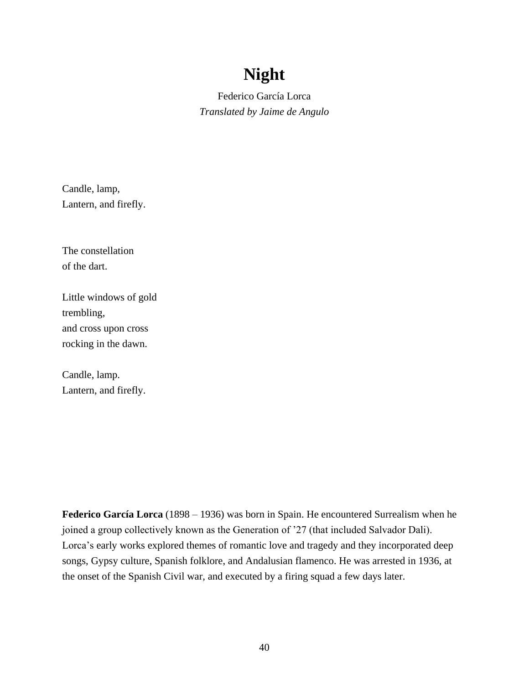# **Night**

Federico García Lorca *Translated by Jaime de Angulo*

<span id="page-42-0"></span>Candle, lamp, Lantern, and firefly.

The constellation of the dart.

Little windows of gold trembling, and cross upon cross rocking in the dawn.

Candle, lamp. Lantern, and firefly.

**Federico García Lorca** (1898 – 1936) was born in Spain. He encountered Surrealism when he joined a group collectively known as the Generation of '27 (that included Salvador Dali). Lorca's early works explored themes of romantic love and tragedy and they incorporated deep songs, Gypsy culture, Spanish folklore, and Andalusian flamenco. He was arrested in 1936, at the onset of the Spanish Civil war, and executed by a firing squad a few days later.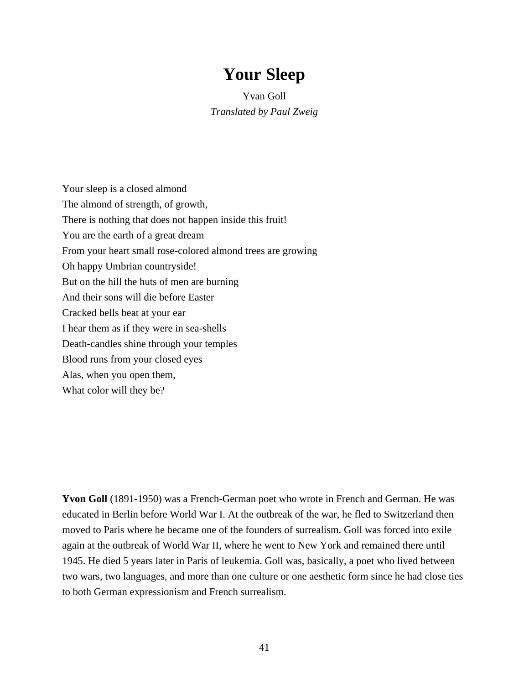## **Your Sleep**

Yvan Goll *Translated by Paul Zweig*

<span id="page-43-0"></span>Your sleep is a closed almond The almond of strength, of growth, There is nothing that does not happen inside this fruit! You are the earth of a great dream From your heart small rose-colored almond trees are growing Oh happy Umbrian countryside! But on the hill the huts of men are burning And their sons will die before Easter Cracked bells beat at your ear I hear them as if they were in sea-shells Death-candles shine through your temples Blood runs from your closed eyes Alas, when you open them, What color will they be?

**Yvon Goll** (1891-1950) was a French-German poet who wrote in French and German. He was educated in Berlin before World War I. At the outbreak of the war, he fled to Switzerland then moved to Paris where he became one of the founders of surrealism. Goll was forced into exile again at the outbreak of World War II, where he went to New York and remained there until 1945. He died 5 years later in Paris of leukemia. Goll was, basically, a poet who lived between two wars, two languages, and more than one culture or one aesthetic form since he had close ties to both German expressionism and French surrealism.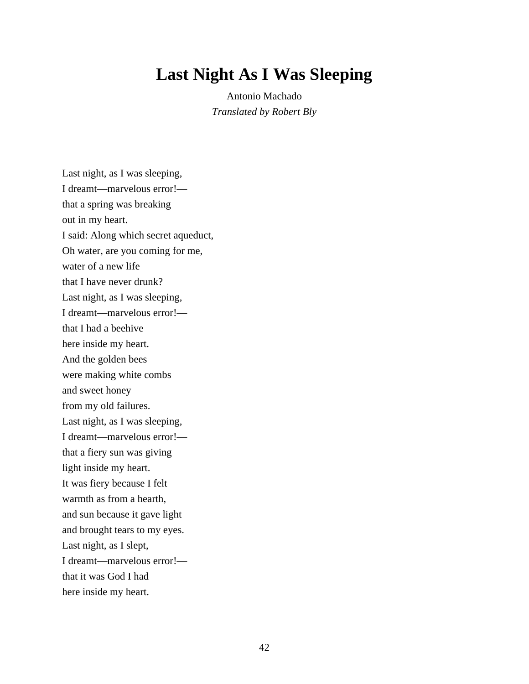## <span id="page-44-0"></span>**Last Night As I Was Sleeping**

Antonio Machado *Translated by Robert Bly*

Last night, as I was sleeping, I dreamt—marvelous error! that a spring was breaking out in my heart. I said: Along which secret aqueduct, Oh water, are you coming for me, water of a new life that I have never drunk? Last night, as I was sleeping, I dreamt—marvelous error! that I had a beehive here inside my heart. And the golden bees were making white combs and sweet honey from my old failures. Last night, as I was sleeping, I dreamt—marvelous error! that a fiery sun was giving light inside my heart. It was fiery because I felt warmth as from a hearth, and sun because it gave light and brought tears to my eyes. Last night, as I slept, I dreamt—marvelous error! that it was God I had here inside my heart.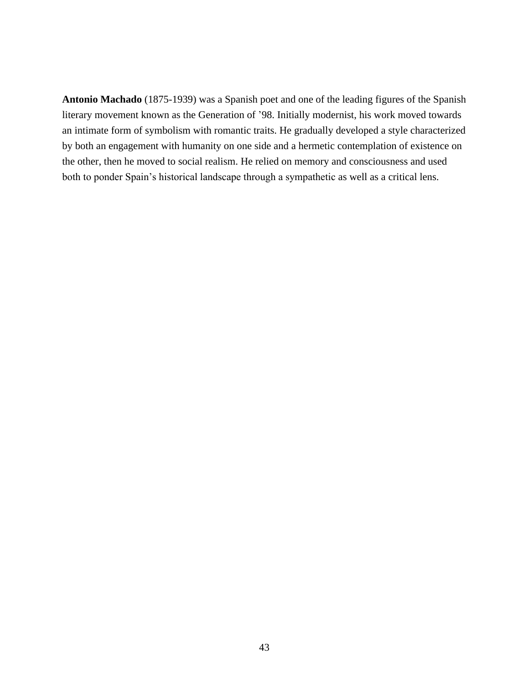**Antonio Machado** (1875-1939) was a Spanish poet and one of the leading figures of the Spanish literary movement known as the Generation of '98. Initially modernist, his work moved towards an intimate form of symbolism with romantic traits. He gradually developed a style characterized by both an engagement with humanity on one side and a hermetic contemplation of existence on the other, then he moved to social realism. He relied on memory and consciousness and used both to ponder Spain's historical landscape through a sympathetic as well as a critical lens.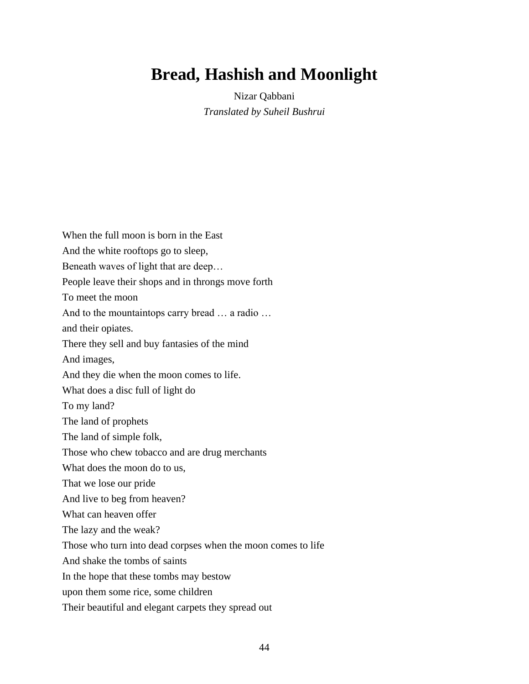## <span id="page-46-0"></span>**Bread, Hashish and Moonlight**

Nizar Qabbani *Translated by Suheil Bushrui*

When the full moon is born in the East And the white rooftops go to sleep, Beneath waves of light that are deep… People leave their shops and in throngs move forth To meet the moon And to the mountaintops carry bread … a radio … and their opiates. There they sell and buy fantasies of the mind And images, And they die when the moon comes to life. What does a disc full of light do To my land? The land of prophets The land of simple folk, Those who chew tobacco and are drug merchants What does the moon do to us, That we lose our pride And live to beg from heaven? What can heaven offer The lazy and the weak? Those who turn into dead corpses when the moon comes to life And shake the tombs of saints In the hope that these tombs may bestow upon them some rice, some children

Their beautiful and elegant carpets they spread out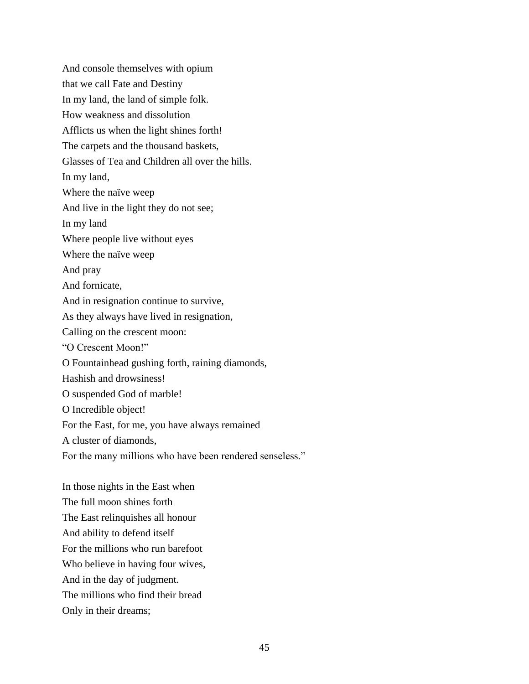And console themselves with opium that we call Fate and Destiny In my land, the land of simple folk. How weakness and dissolution Afflicts us when the light shines forth! The carpets and the thousand baskets, Glasses of Tea and Children all over the hills. In my land, Where the naïve weep And live in the light they do not see; In my land Where people live without eyes Where the naïve weep And pray And fornicate, And in resignation continue to survive, As they always have lived in resignation, Calling on the crescent moon: "O Crescent Moon!" O Fountainhead gushing forth, raining diamonds, Hashish and drowsiness! O suspended God of marble! O Incredible object! For the East, for me, you have always remained A cluster of diamonds, For the many millions who have been rendered senseless."

In those nights in the East when The full moon shines forth The East relinquishes all honour And ability to defend itself For the millions who run barefoot Who believe in having four wives, And in the day of judgment. The millions who find their bread Only in their dreams;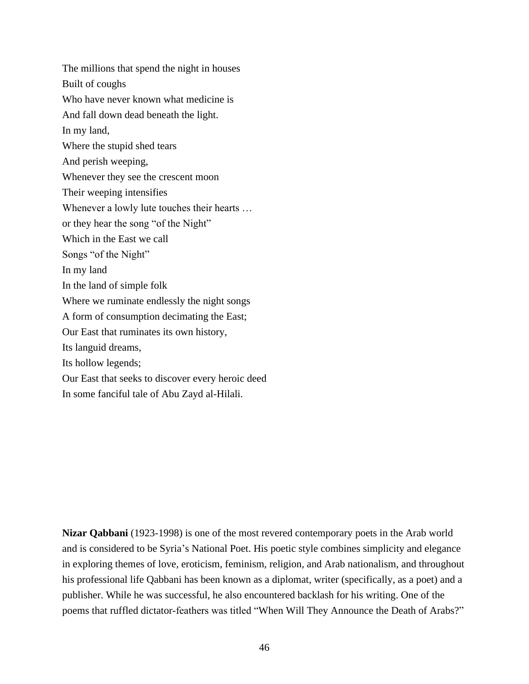The millions that spend the night in houses Built of coughs Who have never known what medicine is And fall down dead beneath the light. In my land, Where the stupid shed tears And perish weeping, Whenever they see the crescent moon Their weeping intensifies Whenever a lowly lute touches their hearts … or they hear the song "of the Night" Which in the East we call Songs "of the Night" In my land In the land of simple folk Where we ruminate endlessly the night songs A form of consumption decimating the East; Our East that ruminates its own history, Its languid dreams, Its hollow legends; Our East that seeks to discover every heroic deed In some fanciful tale of Abu Zayd al-Hilali.

**Nizar Qabbani** (1923-1998) is one of the most revered contemporary poets in the Arab world and is considered to be Syria's National Poet. His poetic style combines simplicity and elegance in exploring themes of love, eroticism, feminism, religion, and Arab nationalism, and throughout his professional life Qabbani has been known as a diplomat, writer (specifically, as a poet) and a publisher. While he was successful, he also encountered backlash for his writing. One of the poems that ruffled dictator-feathers was titled "When Will They Announce the Death of Arabs?"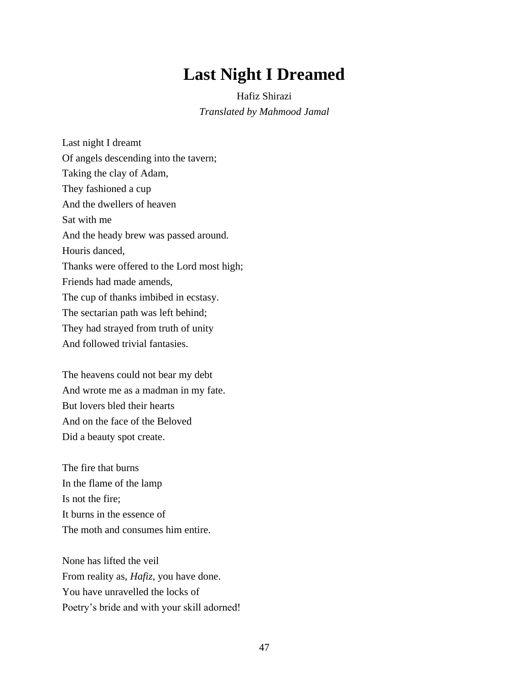# **Last Night I Dreamed**

Hafiz Shirazi *Translated by Mahmood Jamal*

<span id="page-49-0"></span>Last night I dreamt Of angels descending into the tavern; Taking the clay of Adam, They fashioned a cup And the dwellers of heaven Sat with me And the heady brew was passed around. Houris danced, Thanks were offered to the Lord most high; Friends had made amends, The cup of thanks imbibed in ecstasy. The sectarian path was left behind; They had strayed from truth of unity And followed trivial fantasies.

The heavens could not bear my debt And wrote me as a madman in my fate. But lovers bled their hearts And on the face of the Beloved Did a beauty spot create.

The fire that burns In the flame of the lamp Is not the fire; It burns in the essence of The moth and consumes him entire.

None has lifted the veil From reality as, *Hafiz*, you have done. You have unravelled the locks of Poetry's bride and with your skill adorned!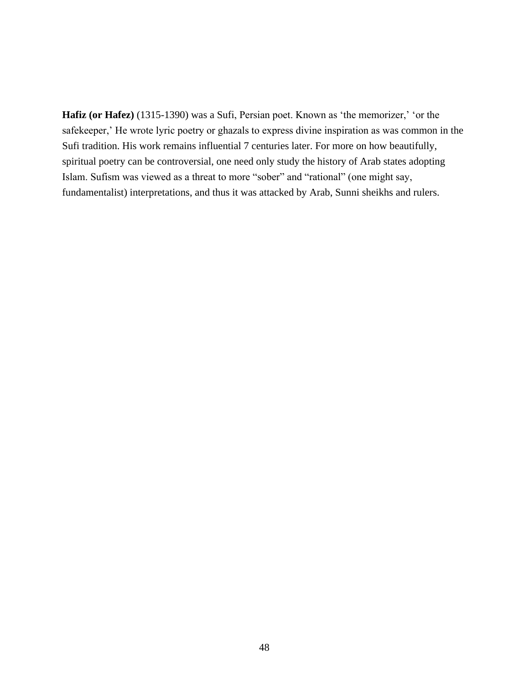**Hafiz (or Hafez)** (1315-1390) was a Sufi, Persian poet. Known as 'the memorizer,' 'or the safekeeper,' He wrote lyric poetry or ghazals to express divine inspiration as was common in the Sufi tradition. His work remains influential 7 centuries later. For more on how beautifully, spiritual poetry can be controversial, one need only study the history of Arab states adopting Islam. Sufism was viewed as a threat to more "sober" and "rational" (one might say, fundamentalist) interpretations, and thus it was attacked by Arab, Sunni sheikhs and rulers.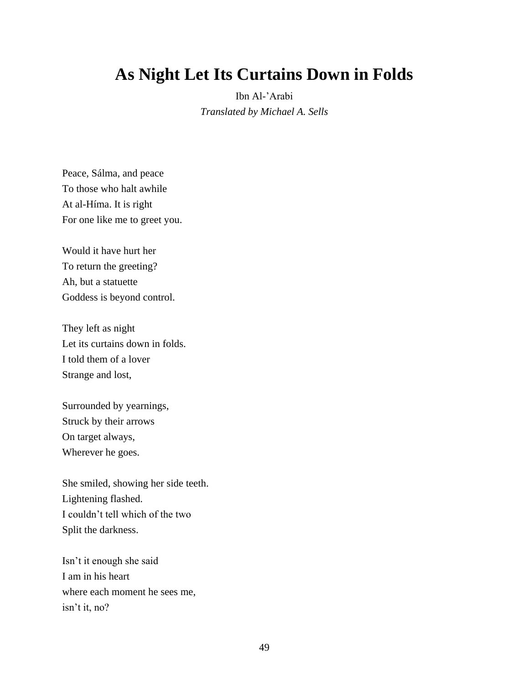## <span id="page-51-0"></span>**As Night Let Its Curtains Down in Folds**

Ibn Al-'Arabi *Translated by Michael A. Sells*

Peace, Sálma, and peace To those who halt awhile At al-Híma. It is right For one like me to greet you.

Would it have hurt her To return the greeting? Ah, but a statuette Goddess is beyond control.

They left as night Let its curtains down in folds. I told them of a lover Strange and lost,

Surrounded by yearnings, Struck by their arrows On target always, Wherever he goes.

She smiled, showing her side teeth. Lightening flashed. I couldn't tell which of the two Split the darkness.

Isn't it enough she said I am in his heart where each moment he sees me, isn't it, no?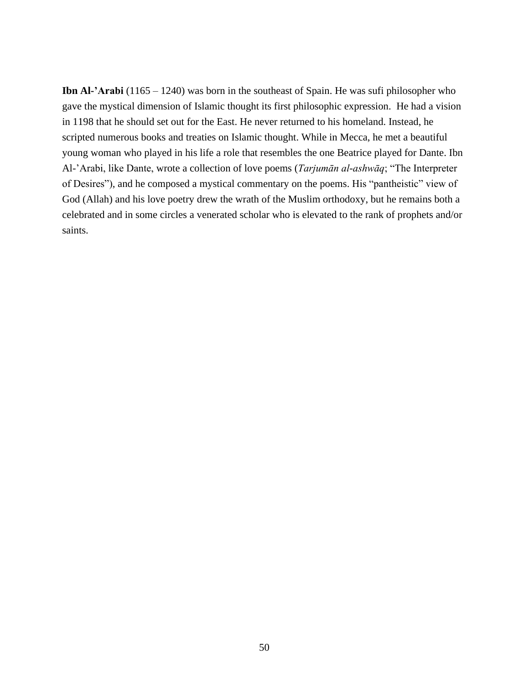**Ibn Al-'Arabi** (1165 – 1240) was born in the southeast of Spain. He was sufi philosopher who gave the mystical dimension of Islamic thought its first philosophic expression. He had a vision in 1198 that he should set out for the East. He never returned to his homeland. Instead, he scripted numerous books and treaties on Islamic thought. While in Mecca, he met a beautiful young woman who played in his life a role that resembles the one Beatrice played for Dante. Ibn Al-'Arabi, like Dante, wrote a collection of love poems (*Tarjumān al-ashwāq*; "The Interpreter of Desires"), and he composed a mystical commentary on the poems. His "pantheistic" view of God (Allah) and his love poetry drew the wrath of the Muslim orthodoxy, but he remains both a celebrated and in some circles a venerated scholar who is elevated to the rank of prophets and/or saints.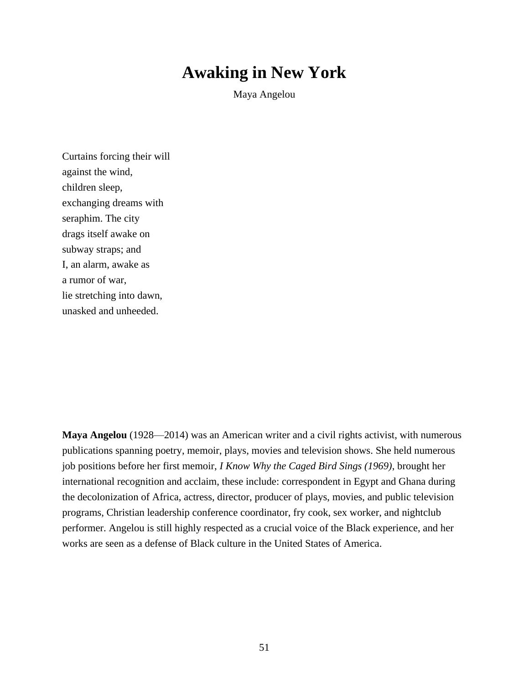# **Awaking in New York**

Maya Angelou

<span id="page-53-0"></span>Curtains forcing their will against the wind, children sleep, exchanging dreams with seraphim. The city drags itself awake on subway straps; and I, an alarm, awake as a rumor of war, lie stretching into dawn, unasked and unheeded.

**Maya Angelou** (1928—2014) was an American writer and a civil rights activist, with numerous publications spanning poetry, memoir, plays, movies and television shows. She held numerous job positions before her first memoir, *I Know Why the Caged Bird Sings (1969)*, brought her international recognition and acclaim, these include: correspondent in Egypt and Ghana during the decolonization of Africa, actress, director, producer of plays, movies, and public television programs, Christian leadership conference coordinator, fry cook, sex worker, and nightclub performer. Angelou is still highly respected as a crucial voice of the Black experience, and her works are seen as a defense of Black culture in the United States of America.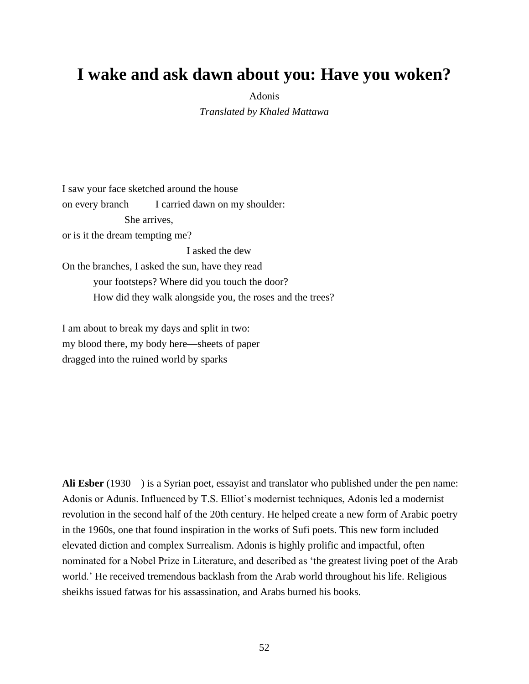### <span id="page-54-0"></span>**I wake and ask dawn about you: Have you woken?**

Adonis

*Translated by Khaled Mattawa*

I saw your face sketched around the house on every branch I carried dawn on my shoulder: She arrives, or is it the dream tempting me? I asked the dew On the branches, I asked the sun, have they read your footsteps? Where did you touch the door? How did they walk alongside you, the roses and the trees?

I am about to break my days and split in two: my blood there, my body here—sheets of paper dragged into the ruined world by sparks

**Ali Esber** (1930—) is a Syrian poet, essayist and translator who published under the pen name: Adonis or Adunis. Influenced by T.S. Elliot's modernist techniques, Adonis led a modernist revolution in the second half of the 20th century. He helped create a new form of Arabic poetry in the 1960s, one that found inspiration in the works of Sufi poets. This new form included elevated diction and complex Surrealism. Adonis is highly prolific and impactful, often nominated for a Nobel Prize in Literature, and described as 'the greatest living poet of the Arab world.' He received tremendous backlash from the Arab world throughout his life. Religious sheikhs issued fatwas for his assassination, and Arabs burned his books.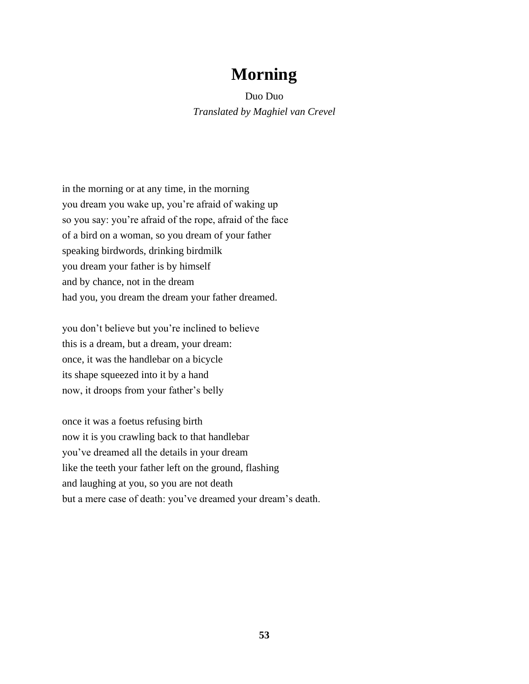### **Morning**

Duo Duo *Translated by Maghiel van Crevel*

<span id="page-55-0"></span>in the morning or at any time, in the morning you dream you wake up, you're afraid of waking up so you say: you're afraid of the rope, afraid of the face of a bird on a woman, so you dream of your father speaking birdwords, drinking birdmilk you dream your father is by himself and by chance, not in the dream had you, you dream the dream your father dreamed.

you don't believe but you're inclined to believe this is a dream, but a dream, your dream: once, it was the handlebar on a bicycle its shape squeezed into it by a hand now, it droops from your father's belly

once it was a foetus refusing birth now it is you crawling back to that handlebar you've dreamed all the details in your dream like the teeth your father left on the ground, flashing and laughing at you, so you are not death but a mere case of death: you've dreamed your dream's death.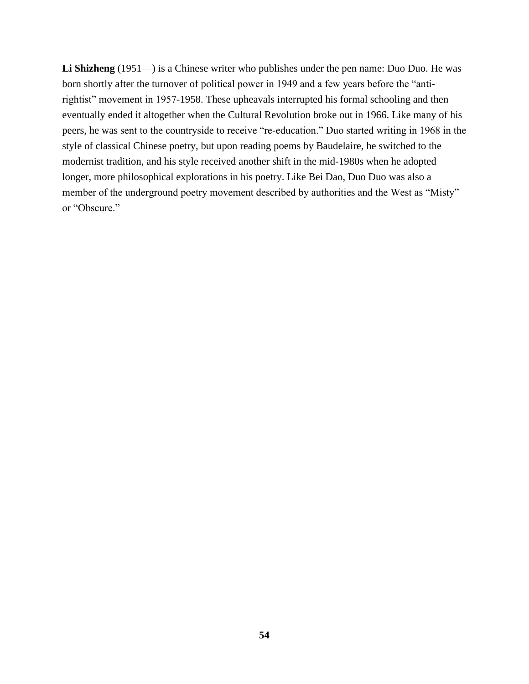**Li Shizheng** (1951—) is a Chinese writer who publishes under the pen name: Duo Duo. He was born shortly after the turnover of political power in 1949 and a few years before the "antirightist" movement in 1957-1958. These upheavals interrupted his formal schooling and then eventually ended it altogether when the Cultural Revolution broke out in 1966. Like many of his peers, he was sent to the countryside to receive "re-education." Duo started writing in 1968 in the style of classical Chinese poetry, but upon reading poems by Baudelaire, he switched to the modernist tradition, and his style received another shift in the mid-1980s when he adopted longer, more philosophical explorations in his poetry. Like Bei Dao, Duo Duo was also a member of the underground poetry movement described by authorities and the West as "Misty" or "Obscure."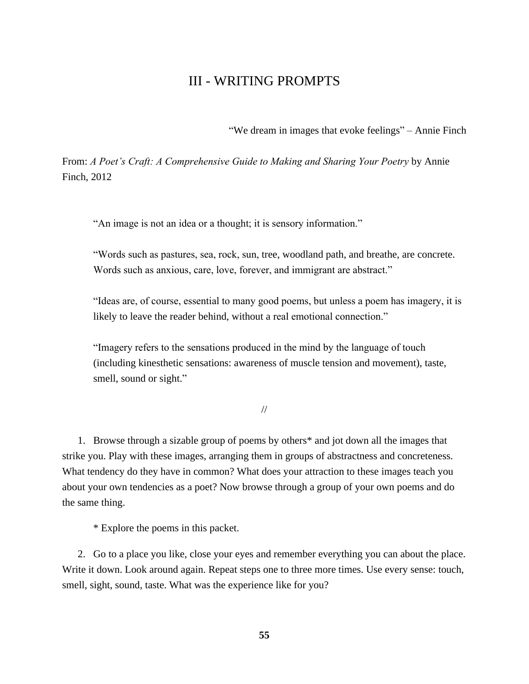### III - WRITING PROMPTS

"We dream in images that evoke feelings" – Annie Finch

<span id="page-57-0"></span>From: *A Poet's Craft: A Comprehensive Guide to Making and Sharing Your Poetry* by Annie Finch, 2012

"An image is not an idea or a thought; it is sensory information."

"Words such as pastures, sea, rock, sun, tree, woodland path, and breathe, are concrete. Words such as anxious, care, love, forever, and immigrant are abstract."

"Ideas are, of course, essential to many good poems, but unless a poem has imagery, it is likely to leave the reader behind, without a real emotional connection."

"Imagery refers to the sensations produced in the mind by the language of touch (including kinesthetic sensations: awareness of muscle tension and movement), taste, smell, sound or sight."

//

1. Browse through a sizable group of poems by others\* and jot down all the images that strike you. Play with these images, arranging them in groups of abstractness and concreteness. What tendency do they have in common? What does your attraction to these images teach you about your own tendencies as a poet? Now browse through a group of your own poems and do the same thing.

\* Explore the poems in this packet.

2. Go to a place you like, close your eyes and remember everything you can about the place. Write it down. Look around again. Repeat steps one to three more times. Use every sense: touch, smell, sight, sound, taste. What was the experience like for you?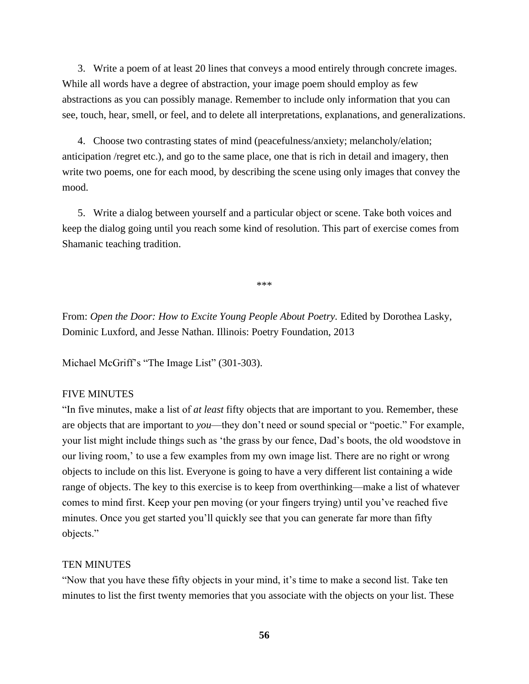3. Write a poem of at least 20 lines that conveys a mood entirely through concrete images. While all words have a degree of abstraction, your image poem should employ as few abstractions as you can possibly manage. Remember to include only information that you can see, touch, hear, smell, or feel, and to delete all interpretations, explanations, and generalizations.

4. Choose two contrasting states of mind (peacefulness/anxiety; melancholy/elation; anticipation /regret etc.), and go to the same place, one that is rich in detail and imagery, then write two poems, one for each mood, by describing the scene using only images that convey the mood.

5. Write a dialog between yourself and a particular object or scene. Take both voices and keep the dialog going until you reach some kind of resolution. This part of exercise comes from Shamanic teaching tradition.

\*\*\*

From: *Open the Door: How to Excite Young People About Poetry.* Edited by Dorothea Lasky, Dominic Luxford, and Jesse Nathan. Illinois: Poetry Foundation, 2013

Michael McGriff's "The Image List" (301-303).

#### FIVE MINUTES

"In five minutes, make a list of *at least* fifty objects that are important to you. Remember, these are objects that are important to *you*—they don't need or sound special or "poetic." For example, your list might include things such as 'the grass by our fence, Dad's boots, the old woodstove in our living room,' to use a few examples from my own image list. There are no right or wrong objects to include on this list. Everyone is going to have a very different list containing a wide range of objects. The key to this exercise is to keep from overthinking—make a list of whatever comes to mind first. Keep your pen moving (or your fingers trying) until you've reached five minutes. Once you get started you'll quickly see that you can generate far more than fifty objects."

#### TEN MINUTES

"Now that you have these fifty objects in your mind, it's time to make a second list. Take ten minutes to list the first twenty memories that you associate with the objects on your list. These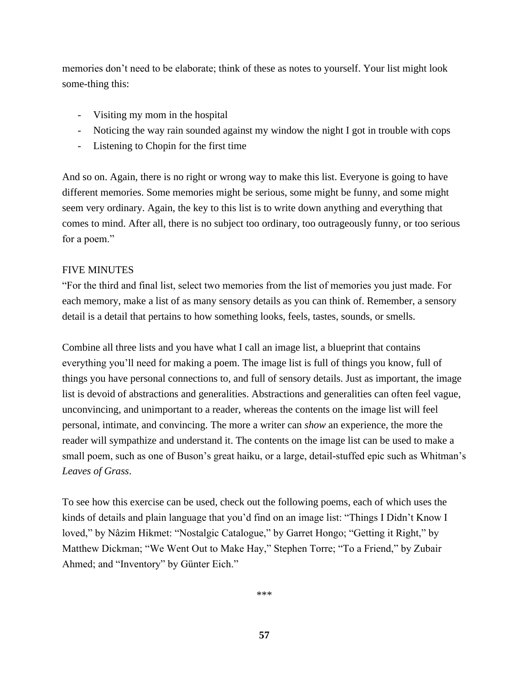memories don't need to be elaborate; think of these as notes to yourself. Your list might look some-thing this:

- Visiting my mom in the hospital
- Noticing the way rain sounded against my window the night I got in trouble with cops
- Listening to Chopin for the first time

And so on. Again, there is no right or wrong way to make this list. Everyone is going to have different memories. Some memories might be serious, some might be funny, and some might seem very ordinary. Again, the key to this list is to write down anything and everything that comes to mind. After all, there is no subject too ordinary, too outrageously funny, or too serious for a poem."

#### FIVE MINUTES

"For the third and final list, select two memories from the list of memories you just made. For each memory, make a list of as many sensory details as you can think of. Remember, a sensory detail is a detail that pertains to how something looks, feels, tastes, sounds, or smells.

Combine all three lists and you have what I call an image list, a blueprint that contains everything you'll need for making a poem. The image list is full of things you know, full of things you have personal connections to, and full of sensory details. Just as important, the image list is devoid of abstractions and generalities. Abstractions and generalities can often feel vague, unconvincing, and unimportant to a reader, whereas the contents on the image list will feel personal, intimate, and convincing. The more a writer can *show* an experience, the more the reader will sympathize and understand it. The contents on the image list can be used to make a small poem, such as one of Buson's great haiku, or a large, detail-stuffed epic such as Whitman's *Leaves of Grass*.

To see how this exercise can be used, check out the following poems, each of which uses the kinds of details and plain language that you'd find on an image list: "Things I Didn't Know I loved," by Nâzim Hikmet: "Nostalgic Catalogue," by Garret Hongo; "Getting it Right," by Matthew Dickman; "We Went Out to Make Hay," Stephen Torre; "To a Friend," by Zubair Ahmed; and "Inventory" by Günter Eich."

\*\*\*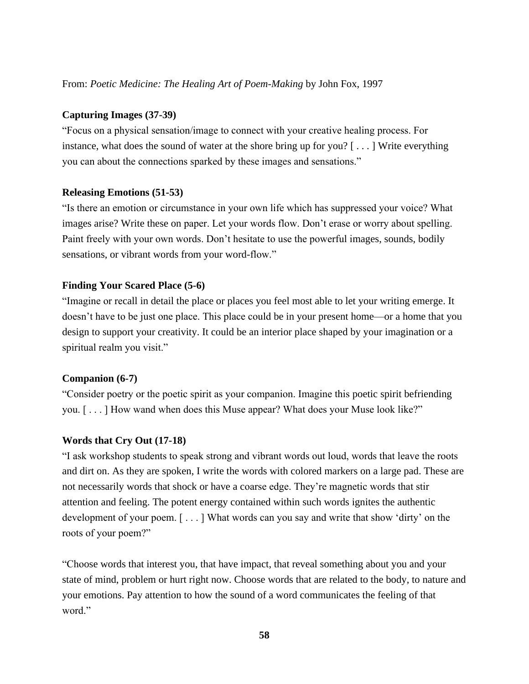#### **Capturing Images (37-39)**

"Focus on a physical sensation/image to connect with your creative healing process. For instance, what does the sound of water at the shore bring up for you? [ . . . ] Write everything you can about the connections sparked by these images and sensations."

#### **Releasing Emotions (51-53)**

"Is there an emotion or circumstance in your own life which has suppressed your voice? What images arise? Write these on paper. Let your words flow. Don't erase or worry about spelling. Paint freely with your own words. Don't hesitate to use the powerful images, sounds, bodily sensations, or vibrant words from your word-flow."

#### **Finding Your Scared Place (5-6)**

"Imagine or recall in detail the place or places you feel most able to let your writing emerge. It doesn't have to be just one place. This place could be in your present home—or a home that you design to support your creativity. It could be an interior place shaped by your imagination or a spiritual realm you visit."

#### **Companion (6-7)**

"Consider poetry or the poetic spirit as your companion. Imagine this poetic spirit befriending you. [ . . . ] How wand when does this Muse appear? What does your Muse look like?"

#### **Words that Cry Out (17-18)**

"I ask workshop students to speak strong and vibrant words out loud, words that leave the roots and dirt on. As they are spoken, I write the words with colored markers on a large pad. These are not necessarily words that shock or have a coarse edge. They're magnetic words that stir attention and feeling. The potent energy contained within such words ignites the authentic development of your poem. [ . . . ] What words can you say and write that show 'dirty' on the roots of your poem?"

"Choose words that interest you, that have impact, that reveal something about you and your state of mind, problem or hurt right now. Choose words that are related to the body, to nature and your emotions. Pay attention to how the sound of a word communicates the feeling of that word."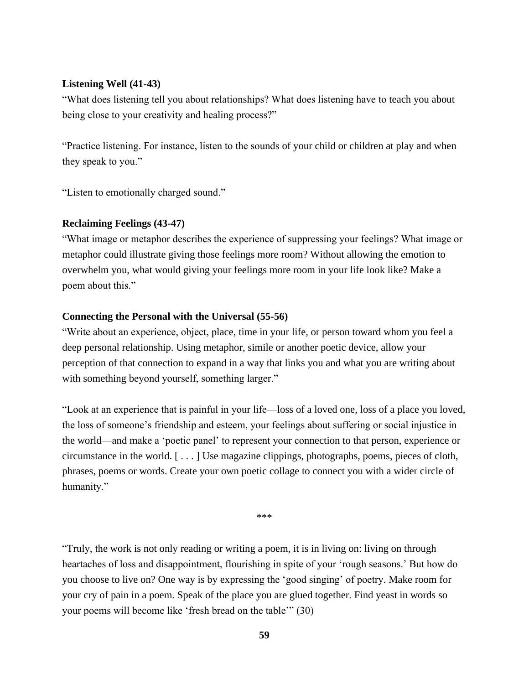#### **Listening Well (41-43)**

"What does listening tell you about relationships? What does listening have to teach you about being close to your creativity and healing process?"

"Practice listening. For instance, listen to the sounds of your child or children at play and when they speak to you."

"Listen to emotionally charged sound."

#### **Reclaiming Feelings (43-47)**

"What image or metaphor describes the experience of suppressing your feelings? What image or metaphor could illustrate giving those feelings more room? Without allowing the emotion to overwhelm you, what would giving your feelings more room in your life look like? Make a poem about this."

#### **Connecting the Personal with the Universal (55-56)**

"Write about an experience, object, place, time in your life, or person toward whom you feel a deep personal relationship. Using metaphor, simile or another poetic device, allow your perception of that connection to expand in a way that links you and what you are writing about with something beyond yourself, something larger."

"Look at an experience that is painful in your life—loss of a loved one, loss of a place you loved, the loss of someone's friendship and esteem, your feelings about suffering or social injustice in the world—and make a 'poetic panel' to represent your connection to that person, experience or circumstance in the world. [ . . . ] Use magazine clippings, photographs, poems, pieces of cloth, phrases, poems or words. Create your own poetic collage to connect you with a wider circle of humanity."

\*\*\*

"Truly, the work is not only reading or writing a poem, it is in living on: living on through heartaches of loss and disappointment, flourishing in spite of your 'rough seasons.' But how do you choose to live on? One way is by expressing the 'good singing' of poetry. Make room for your cry of pain in a poem. Speak of the place you are glued together. Find yeast in words so your poems will become like 'fresh bread on the table'" (30)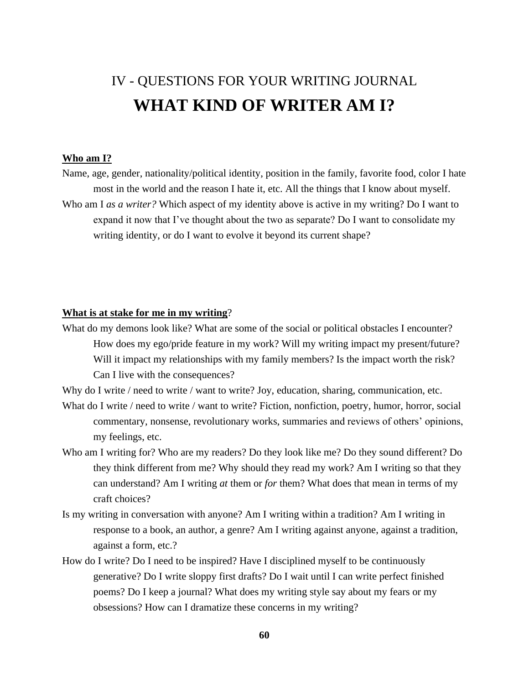# <span id="page-62-1"></span><span id="page-62-0"></span>IV - QUESTIONS FOR YOUR WRITING JOURNAL **WHAT KIND OF WRITER AM I?**

#### **Who am I?**

Name, age, gender, nationality/political identity, position in the family, favorite food, color I hate most in the world and the reason I hate it, etc. All the things that I know about myself. Who am I *as a writer?* Which aspect of my identity above is active in my writing? Do I want to expand it now that I've thought about the two as separate? Do I want to consolidate my writing identity, or do I want to evolve it beyond its current shape?

#### **What is at stake for me in my writing**?

What do my demons look like? What are some of the social or political obstacles I encounter? How does my ego/pride feature in my work? Will my writing impact my present/future? Will it impact my relationships with my family members? Is the impact worth the risk? Can I live with the consequences?

Why do I write / need to write / want to write? Joy, education, sharing, communication, etc. What do I write / need to write / want to write? Fiction, nonfiction, poetry, humor, horror, social commentary, nonsense, revolutionary works, summaries and reviews of others' opinions, my feelings, etc.

- Who am I writing for? Who are my readers? Do they look like me? Do they sound different? Do they think different from me? Why should they read my work? Am I writing so that they can understand? Am I writing *at* them or *for* them? What does that mean in terms of my craft choices?
- Is my writing in conversation with anyone? Am I writing within a tradition? Am I writing in response to a book, an author, a genre? Am I writing against anyone, against a tradition, against a form, etc.?
- How do I write? Do I need to be inspired? Have I disciplined myself to be continuously generative? Do I write sloppy first drafts? Do I wait until I can write perfect finished poems? Do I keep a journal? What does my writing style say about my fears or my obsessions? How can I dramatize these concerns in my writing?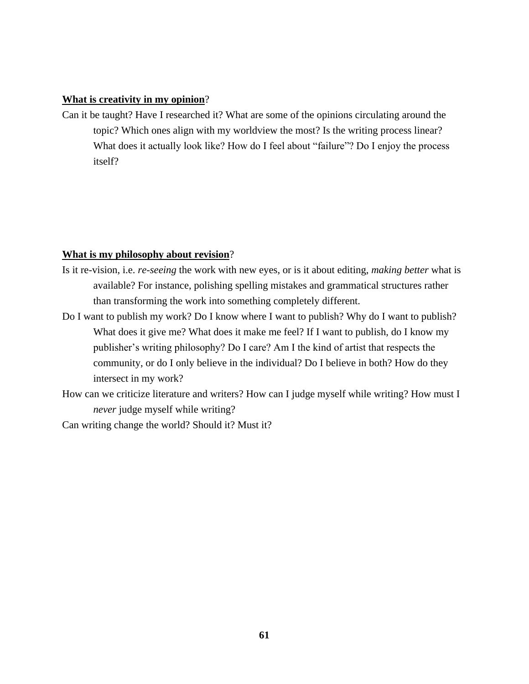#### **What is creativity in my opinion**?

Can it be taught? Have I researched it? What are some of the opinions circulating around the topic? Which ones align with my worldview the most? Is the writing process linear? What does it actually look like? How do I feel about "failure"? Do I enjoy the process itself?

#### **What is my philosophy about revision**?

- Is it re-vision, i.e. *re-seeing* the work with new eyes, or is it about editing, *making better* what is available? For instance, polishing spelling mistakes and grammatical structures rather than transforming the work into something completely different.
- Do I want to publish my work? Do I know where I want to publish? Why do I want to publish? What does it give me? What does it make me feel? If I want to publish, do I know my publisher's writing philosophy? Do I care? Am I the kind of artist that respects the community, or do I only believe in the individual? Do I believe in both? How do they intersect in my work?
- How can we criticize literature and writers? How can I judge myself while writing? How must I *never* judge myself while writing?
- Can writing change the world? Should it? Must it?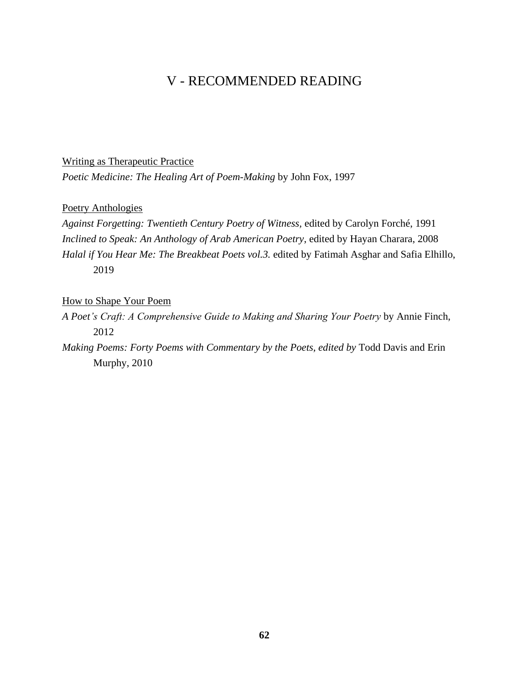### V - RECOMMENDED READING

#### <span id="page-64-0"></span>Writing as Therapeutic Practice

*Poetic Medicine: The Healing Art of Poem-Making* by John Fox, 1997

#### Poetry Anthologies

*Against Forgetting: Twentieth Century Poetry of Witness,* edited by Carolyn Forché, 1991 *Inclined to Speak: An Anthology of Arab American Poetry*, edited by Hayan Charara, 2008 *Halal if You Hear Me: The Breakbeat Poets vol.3.* edited by Fatimah Asghar and Safia Elhillo, 2019

#### How to Shape Your Poem

*A Poet's Craft: A Comprehensive Guide to Making and Sharing Your Poetry* by Annie Finch, 2012

*Making Poems: Forty Poems with Commentary by the Poets, edited by* Todd Davis and Erin Murphy, 2010